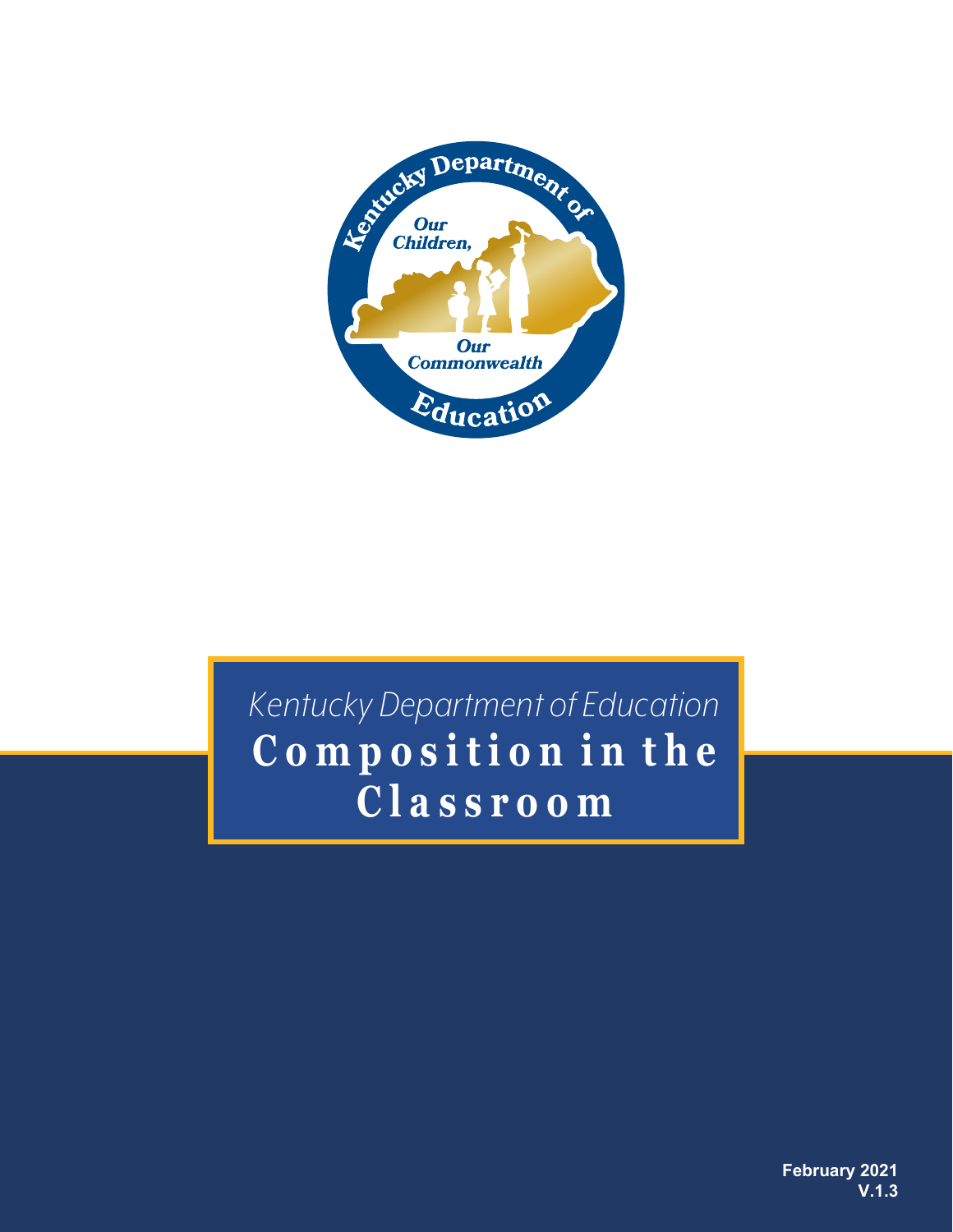

# **C o m p o s i t i o n i n t h e** *Kentucky Department of Education*  **C l a s s r o o m**

**February 2021 V.1.3**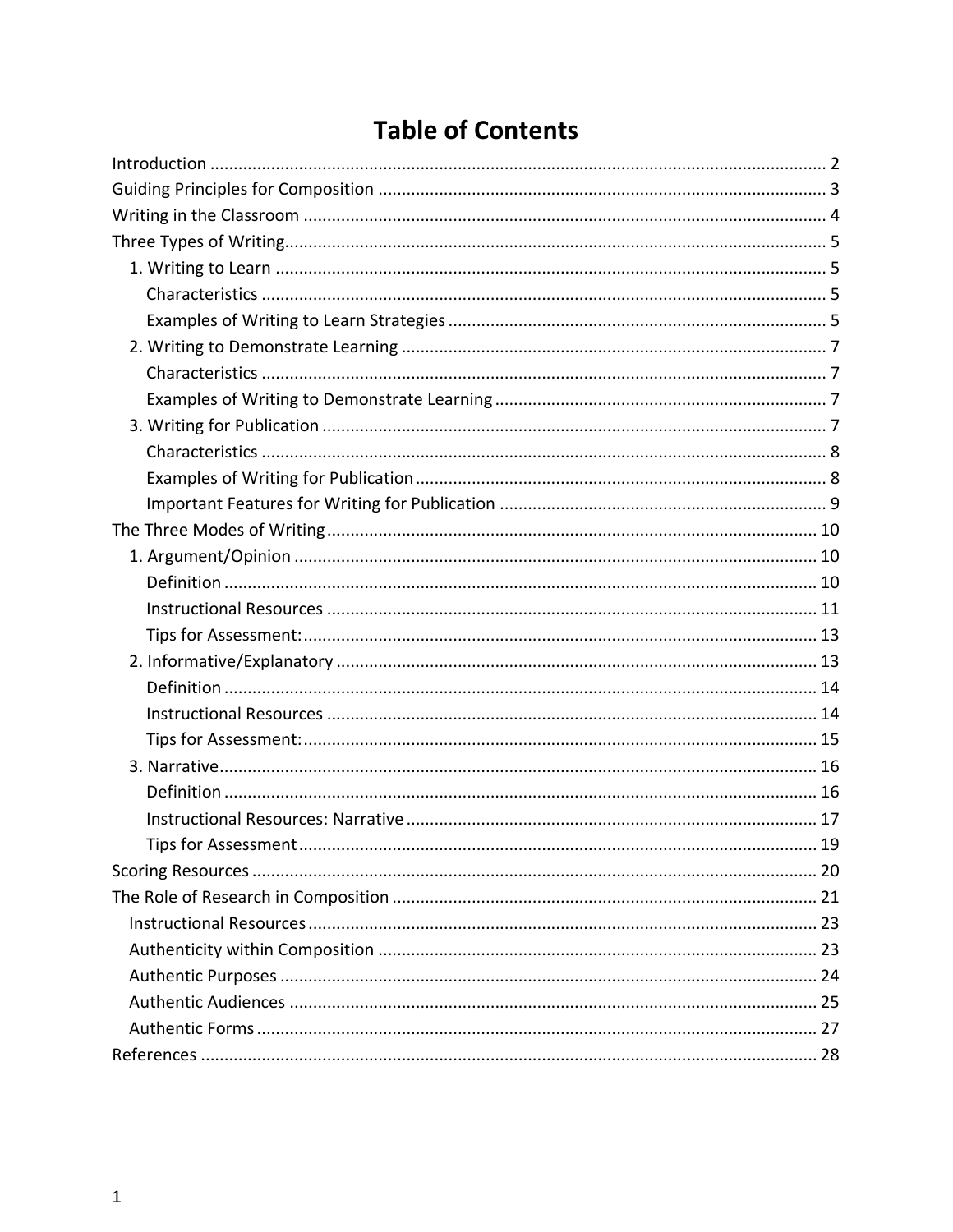## **Table of Contents**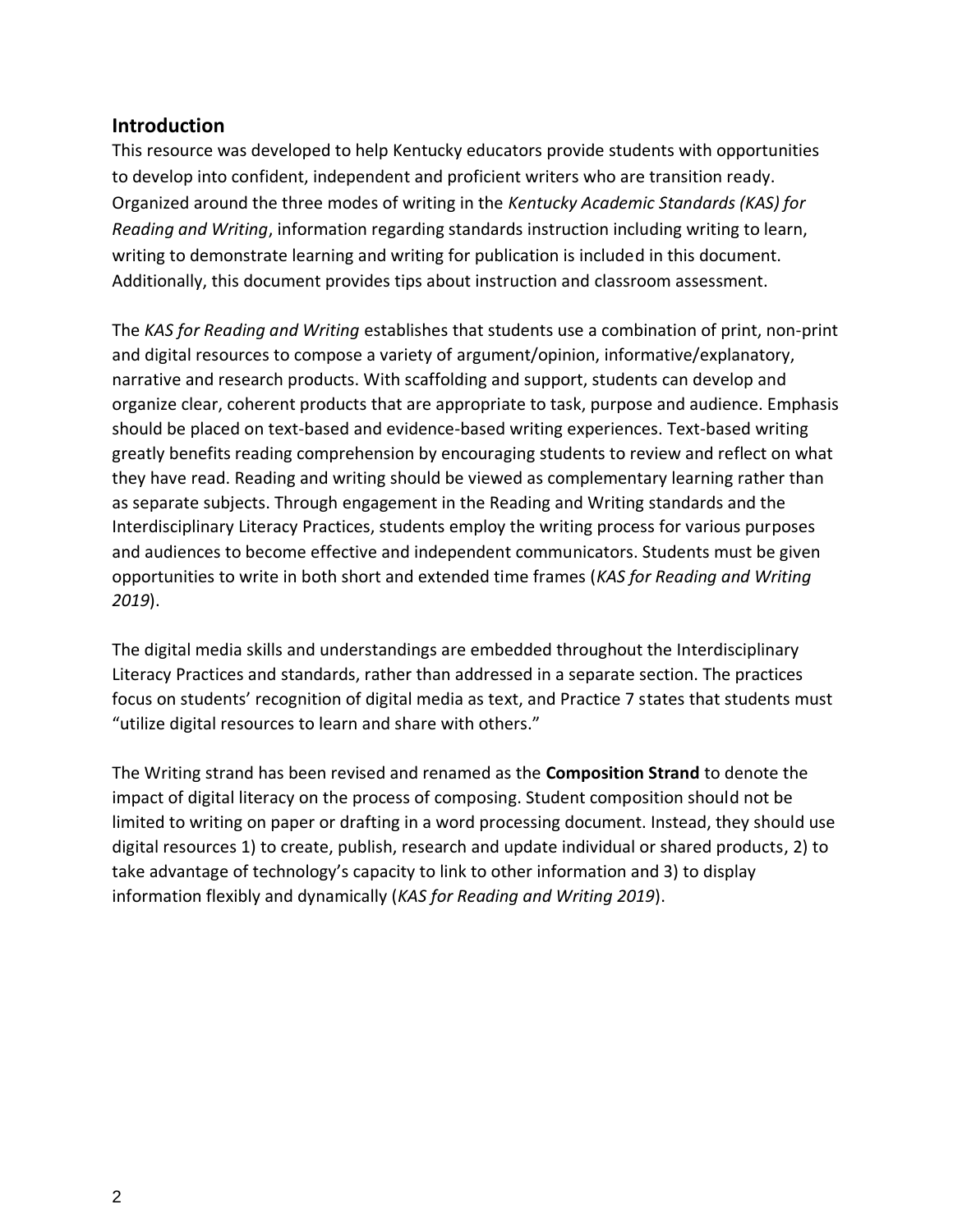#### **Introduction**

This resource was developed to help Kentucky educators provide students with opportunities to develop into confident, independent and proficient writers who are transition ready. Organized around the three modes of writing in the *Kentucky Academic Standards (KAS) for Reading and Writing*, information regarding standards instruction including writing to learn, writing to demonstrate learning and writing for publication is included in this document. Additionally, this document provides tips about instruction and classroom assessment.

The *KAS for Reading and Writing* establishes that students use a combination of print, non-print and digital resources to compose a variety of argument/opinion, informative/explanatory, narrative and research products. With scaffolding and support, students can develop and organize clear, coherent products that are appropriate to task, purpose and audience. Emphasis should be placed on text-based and evidence-based writing experiences. Text-based writing greatly benefits reading comprehension by encouraging students to review and reflect on what they have read. Reading and writing should be viewed as complementary learning rather than as separate subjects. Through engagement in the Reading and Writing standards and the Interdisciplinary Literacy Practices, students employ the writing process for various purposes and audiences to become effective and independent communicators. Students must be given opportunities to write in both short and extended time frames (*KAS for Reading and Writing 2019*).

The digital media skills and understandings are embedded throughout the Interdisciplinary Literacy Practices and standards, rather than addressed in a separate section. The practices focus on students' recognition of digital media as text, and Practice 7 states that students must "utilize digital resources to learn and share with others."

The Writing strand has been revised and renamed as the **Composition Strand** to denote the impact of digital literacy on the process of composing. Student composition should not be limited to writing on paper or drafting in a word processing document. Instead, they should use digital resources 1) to create, publish, research and update individual or shared products, 2) to take advantage of technology's capacity to link to other information and 3) to display information flexibly and dynamically (*KAS for Reading and Writing 2019*).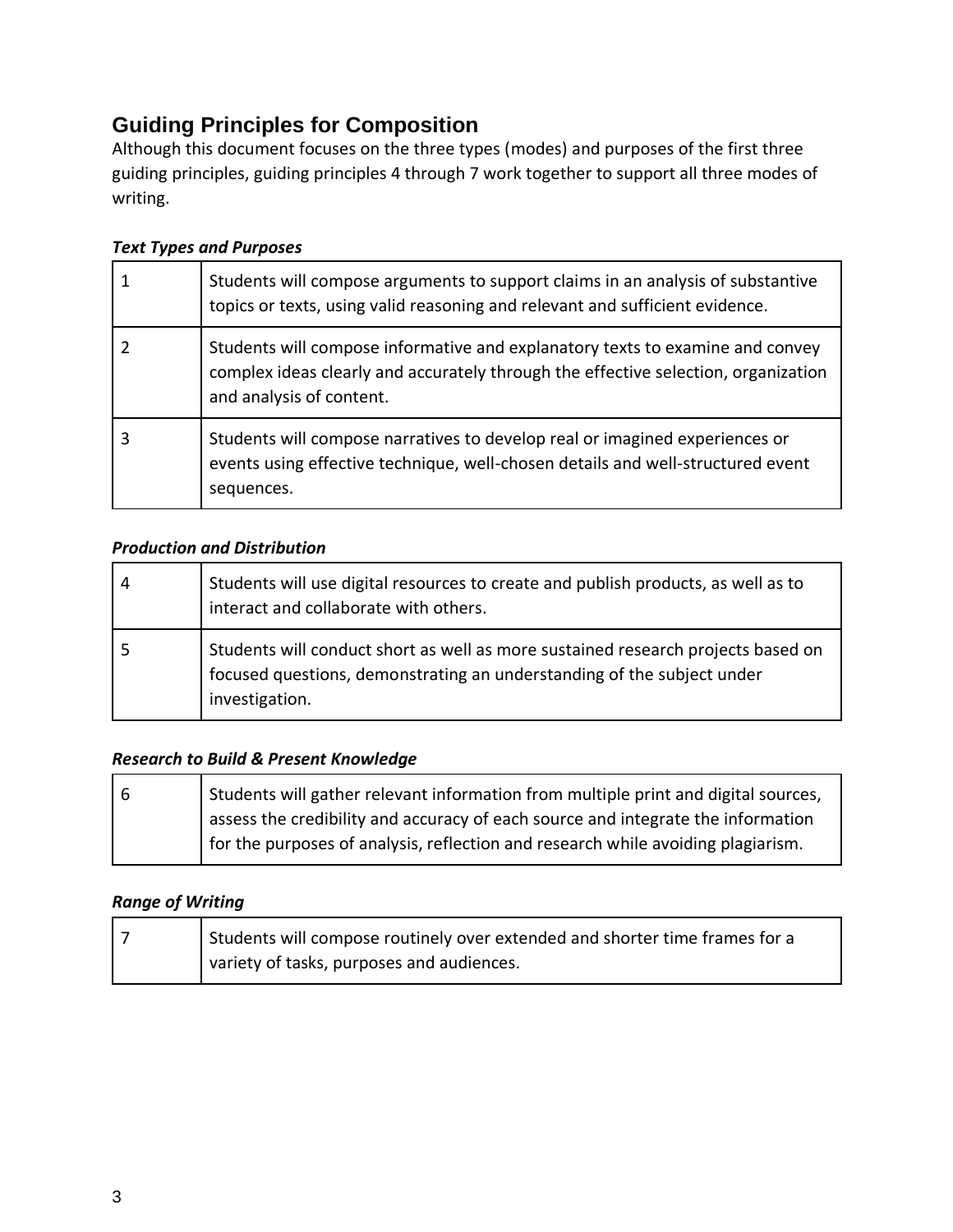### **Guiding Principles for Composition**

Although this document focuses on the three types (modes) and purposes of the first three guiding principles, guiding principles 4 through 7 work together to support all three modes of writing.

#### *Text Types and Purposes*

| Students will compose arguments to support claims in an analysis of substantive<br>topics or texts, using valid reasoning and relevant and sufficient evidence.                                 |
|-------------------------------------------------------------------------------------------------------------------------------------------------------------------------------------------------|
| Students will compose informative and explanatory texts to examine and convey<br>complex ideas clearly and accurately through the effective selection, organization<br>and analysis of content. |
| Students will compose narratives to develop real or imagined experiences or<br>events using effective technique, well-chosen details and well-structured event<br>sequences.                    |

#### *Production and Distribution*

| 4 | Students will use digital resources to create and publish products, as well as to<br>interact and collaborate with others.                                                   |
|---|------------------------------------------------------------------------------------------------------------------------------------------------------------------------------|
|   | Students will conduct short as well as more sustained research projects based on<br>focused questions, demonstrating an understanding of the subject under<br>investigation. |

#### *Research to Build & Present Knowledge*

| -6 | Students will gather relevant information from multiple print and digital sources, |
|----|------------------------------------------------------------------------------------|
|    | assess the credibility and accuracy of each source and integrate the information   |
|    | for the purposes of analysis, reflection and research while avoiding plagiarism.   |

#### *Range of Writing*

| Students will compose routinely over extended and shorter time frames for a |
|-----------------------------------------------------------------------------|
| variety of tasks, purposes and audiences.                                   |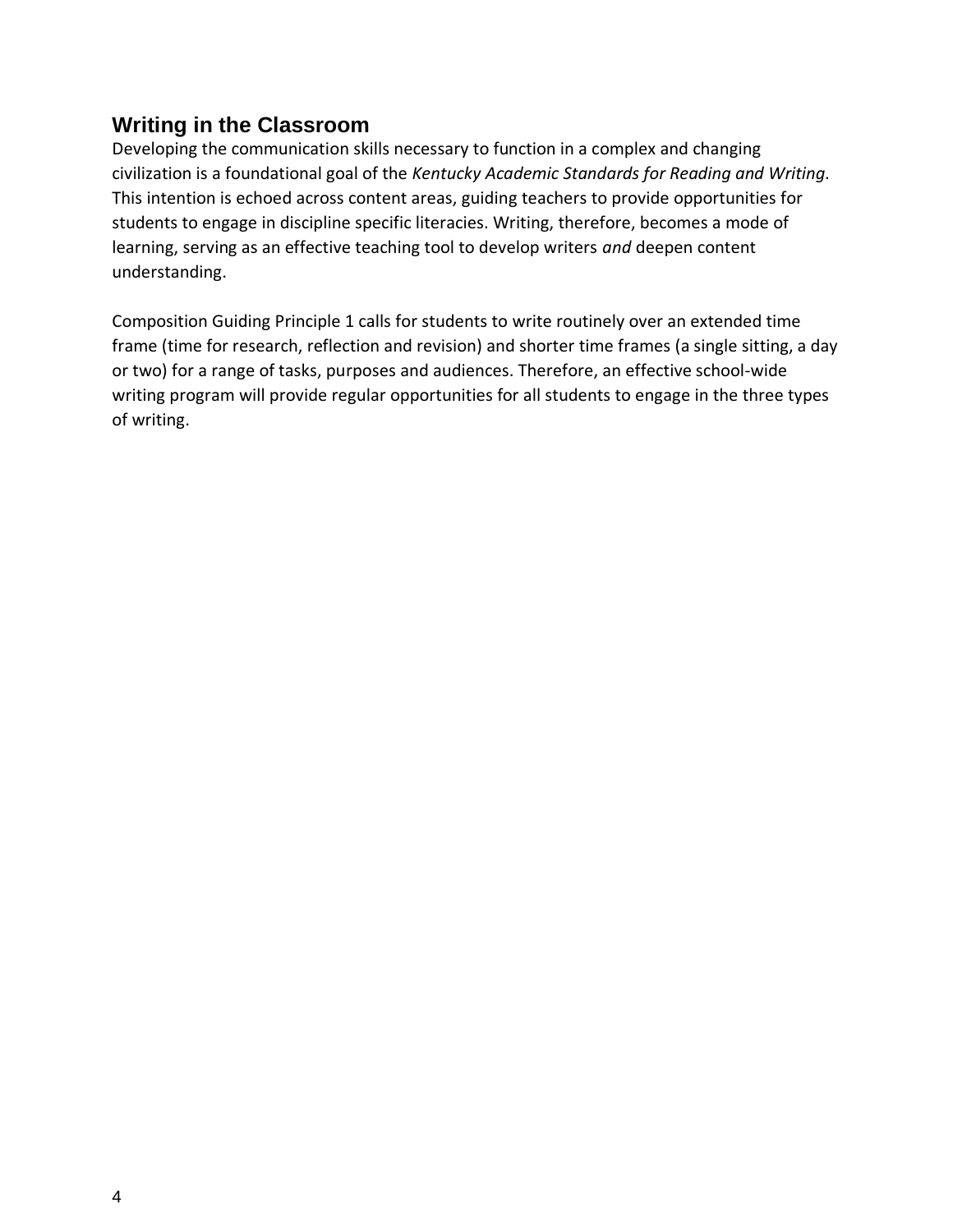### **Writing in the Classroom**

Developing the communication skills necessary to function in a complex and changing civilization is a foundational goal of the *Kentucky Academic Standards for Reading and Writing.* This intention is echoed across content areas, guiding teachers to provide opportunities for students to engage in discipline specific literacies. Writing, therefore, becomes a mode of learning, serving as an effective teaching tool to develop writers *and* deepen content understanding.

Composition Guiding Principle 1 calls for students to write routinely over an extended time frame (time for research, reflection and revision) and shorter time frames (a single sitting, a day or two) for a range of tasks, purposes and audiences. Therefore, an effective school-wide writing program will provide regular opportunities for all students to engage in the three types of writing.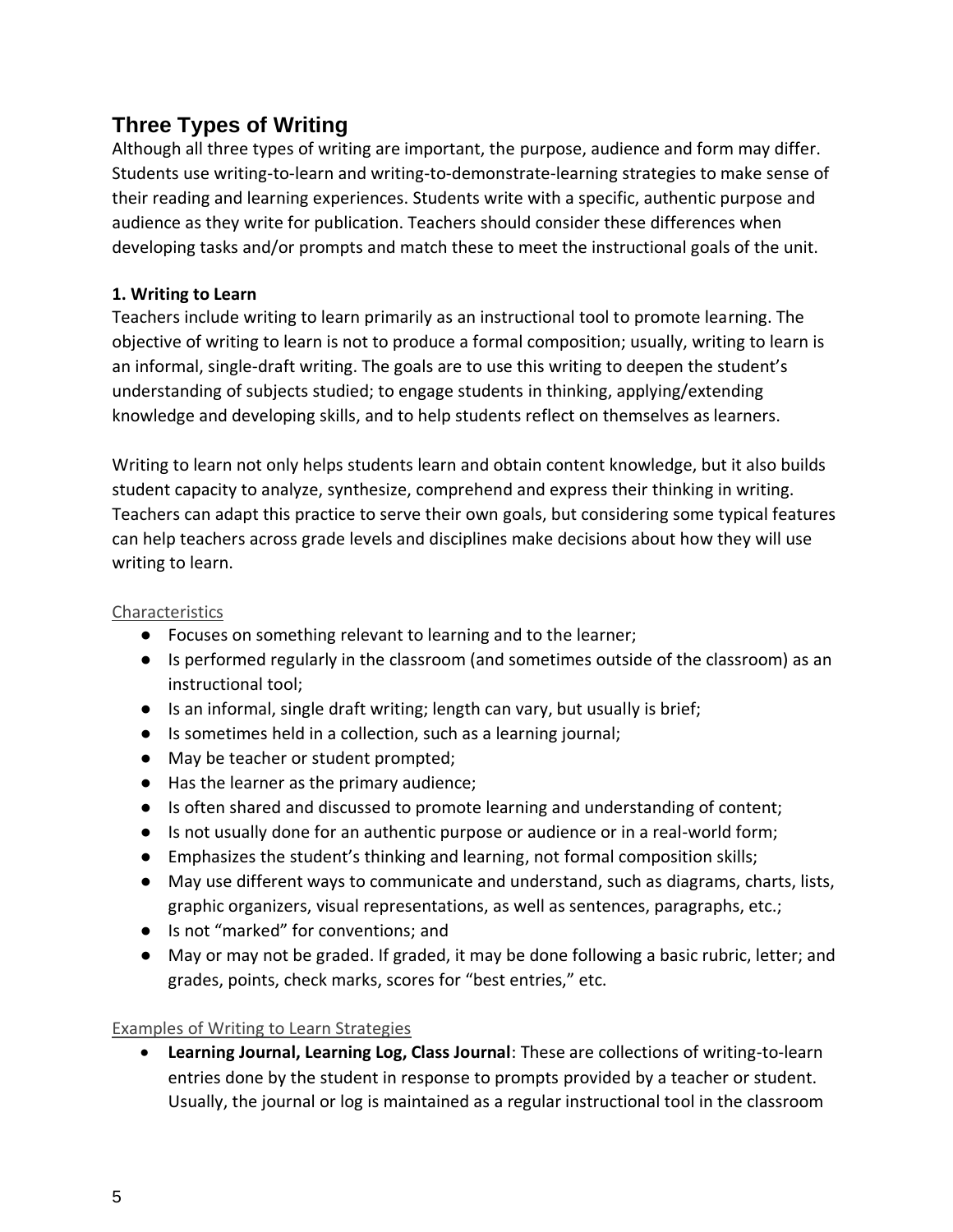### **Three Types of Writing**

Although all three types of writing are important, the purpose, audience and form may differ. Students use writing-to-learn and writing-to-demonstrate-learning strategies to make sense of their reading and learning experiences. Students write with a specific, authentic purpose and audience as they write for publication. Teachers should consider these differences when developing tasks and/or prompts and match these to meet the instructional goals of the unit.

#### **1. Writing to Learn**

Teachers include writing to learn primarily as an instructional tool to promote learning. The objective of writing to learn is not to produce a formal composition; usually, writing to learn is an informal, single-draft writing. The goals are to use this writing to deepen the student's understanding of subjects studied; to engage students in thinking, applying/extending knowledge and developing skills, and to help students reflect on themselves as learners.

Writing to learn not only helps students learn and obtain content knowledge, but it also builds student capacity to analyze, synthesize, comprehend and express their thinking in writing. Teachers can adapt this practice to serve their own goals, but considering some typical features can help teachers across grade levels and disciplines make decisions about how they will use writing to learn.

#### **Characteristics**

- Focuses on something relevant to learning and to the learner;
- Is performed regularly in the classroom (and sometimes outside of the classroom) as an instructional tool;
- Is an informal, single draft writing; length can vary, but usually is brief;
- Is sometimes held in a collection, such as a learning journal;
- May be teacher or student prompted;
- Has the learner as the primary audience;
- Is often shared and discussed to promote learning and understanding of content;
- Is not usually done for an authentic purpose or audience or in a real-world form;
- Emphasizes the student's thinking and learning, not formal composition skills;
- May use different ways to communicate and understand, such as diagrams, charts, lists, graphic organizers, visual representations, as well as sentences, paragraphs, etc.;
- Is not "marked" for conventions; and
- May or may not be graded. If graded, it may be done following a basic rubric, letter; and grades, points, check marks, scores for "best entries," etc.

#### Examples of Writing to Learn Strategies

• **Learning Journal, Learning Log, Class Journal**: These are collections of writing-to-learn entries done by the student in response to prompts provided by a teacher or student. Usually, the journal or log is maintained as a regular instructional tool in the classroom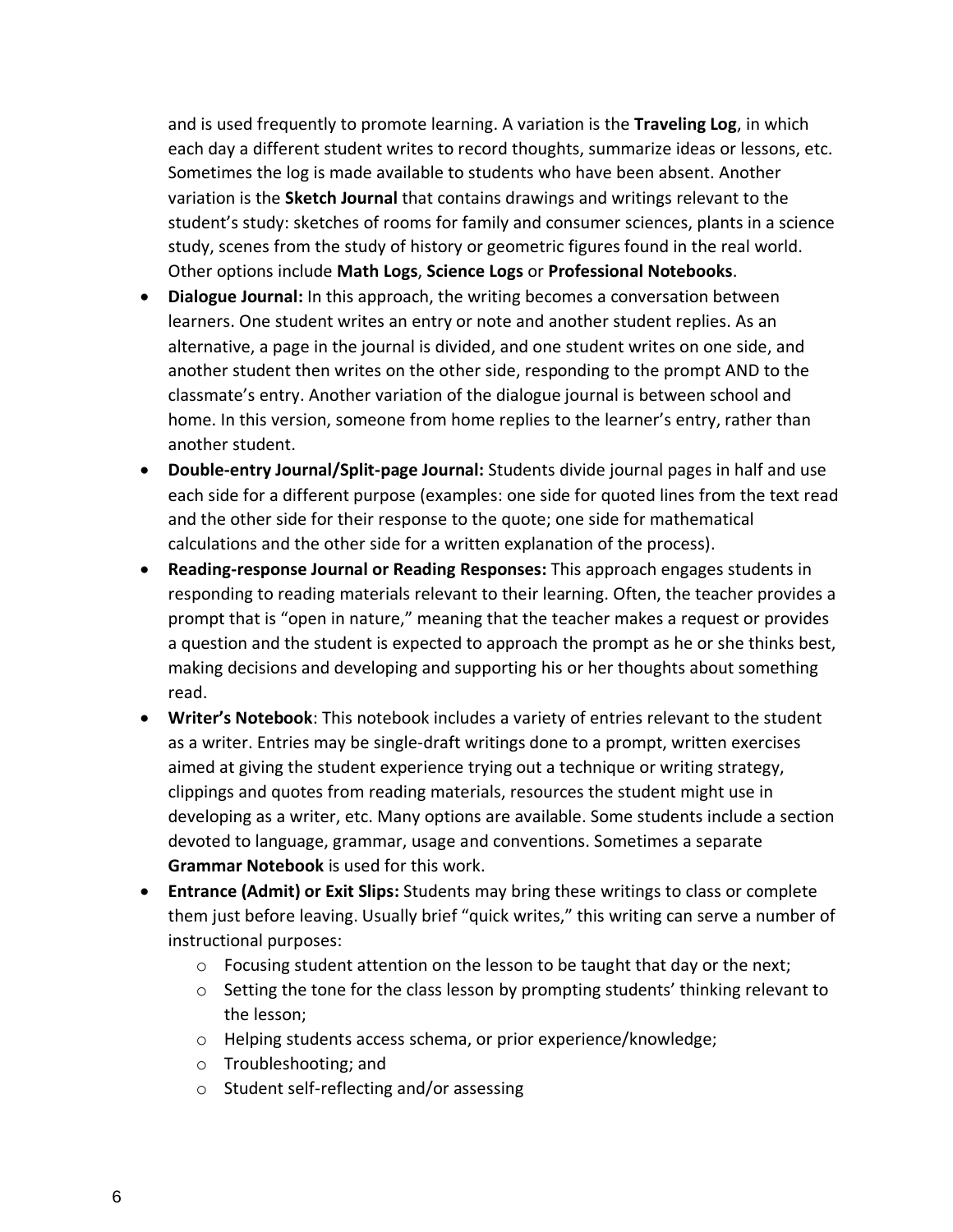and is used frequently to promote learning. A variation is the **Traveling Log**, in which each day a different student writes to record thoughts, summarize ideas or lessons, etc. Sometimes the log is made available to students who have been absent. Another variation is the **Sketch Journal** that contains drawings and writings relevant to the student's study: sketches of rooms for family and consumer sciences, plants in a science study, scenes from the study of history or geometric figures found in the real world. Other options include **Math Logs**, **Science Logs** or **Professional Notebooks**.

- **Dialogue Journal:** In this approach, the writing becomes a conversation between learners. One student writes an entry or note and another student replies. As an alternative, a page in the journal is divided, and one student writes on one side, and another student then writes on the other side, responding to the prompt AND to the classmate's entry. Another variation of the dialogue journal is between school and home. In this version, someone from home replies to the learner's entry, rather than another student.
- **Double-entry Journal/Split-page Journal:** Students divide journal pages in half and use each side for a different purpose (examples: one side for quoted lines from the text read and the other side for their response to the quote; one side for mathematical calculations and the other side for a written explanation of the process).
- **Reading-response Journal or Reading Responses:** This approach engages students in responding to reading materials relevant to their learning. Often, the teacher provides a prompt that is "open in nature," meaning that the teacher makes a request or provides a question and the student is expected to approach the prompt as he or she thinks best, making decisions and developing and supporting his or her thoughts about something read.
- **Writer's Notebook**: This notebook includes a variety of entries relevant to the student as a writer. Entries may be single-draft writings done to a prompt, written exercises aimed at giving the student experience trying out a technique or writing strategy, clippings and quotes from reading materials, resources the student might use in developing as a writer, etc. Many options are available. Some students include a section devoted to language, grammar, usage and conventions. Sometimes a separate **Grammar Notebook** is used for this work.
- **Entrance (Admit) or Exit Slips:** Students may bring these writings to class or complete them just before leaving. Usually brief "quick writes," this writing can serve a number of instructional purposes:
	- o Focusing student attention on the lesson to be taught that day or the next;
	- $\circ$  Setting the tone for the class lesson by prompting students' thinking relevant to the lesson;
	- o Helping students access schema, or prior experience/knowledge;
	- o Troubleshooting; and
	- o Student self-reflecting and/or assessing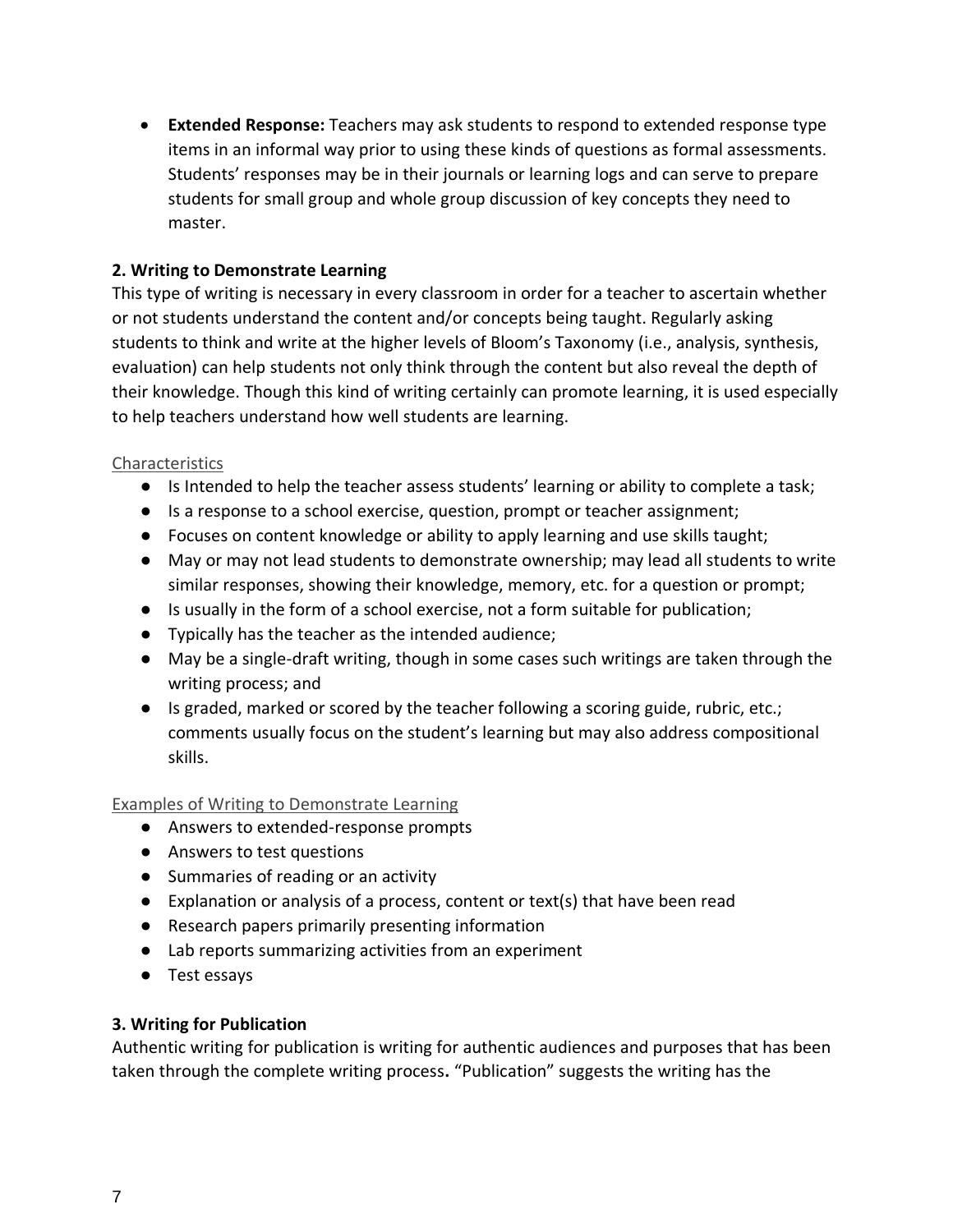• **Extended Response:** Teachers may ask students to respond to extended response type items in an informal way prior to using these kinds of questions as formal assessments. Students' responses may be in their journals or learning logs and can serve to prepare students for small group and whole group discussion of key concepts they need to master.

#### **2. Writing to Demonstrate Learning**

This type of writing is necessary in every classroom in order for a teacher to ascertain whether or not students understand the content and/or concepts being taught. Regularly asking students to think and write at the higher levels of Bloom's Taxonomy (i.e., analysis, synthesis, evaluation) can help students not only think through the content but also reveal the depth of their knowledge. Though this kind of writing certainly can promote learning, it is used especially to help teachers understand how well students are learning.

#### Characteristics

- Is Intended to help the teacher assess students' learning or ability to complete a task;
- Is a response to a school exercise, question, prompt or teacher assignment;
- Focuses on content knowledge or ability to apply learning and use skills taught;
- May or may not lead students to demonstrate ownership; may lead all students to write similar responses, showing their knowledge, memory, etc. for a question or prompt;
- Is usually in the form of a school exercise, not a form suitable for publication;
- Typically has the teacher as the intended audience;
- May be a single-draft writing, though in some cases such writings are taken through the writing process; and
- Is graded, marked or scored by the teacher following a scoring guide, rubric, etc.; comments usually focus on the student's learning but may also address compositional skills.

#### Examples of Writing to Demonstrate Learning

- Answers to extended-response prompts
- Answers to test questions
- Summaries of reading or an activity
- Explanation or analysis of a process, content or text(s) that have been read
- Research papers primarily presenting information
- Lab reports summarizing activities from an experiment
- Test essays

#### **3. Writing for Publication**

Authentic writing for publication is writing for authentic audiences and purposes that has been taken through the complete writing process**.** "Publication" suggests the writing has the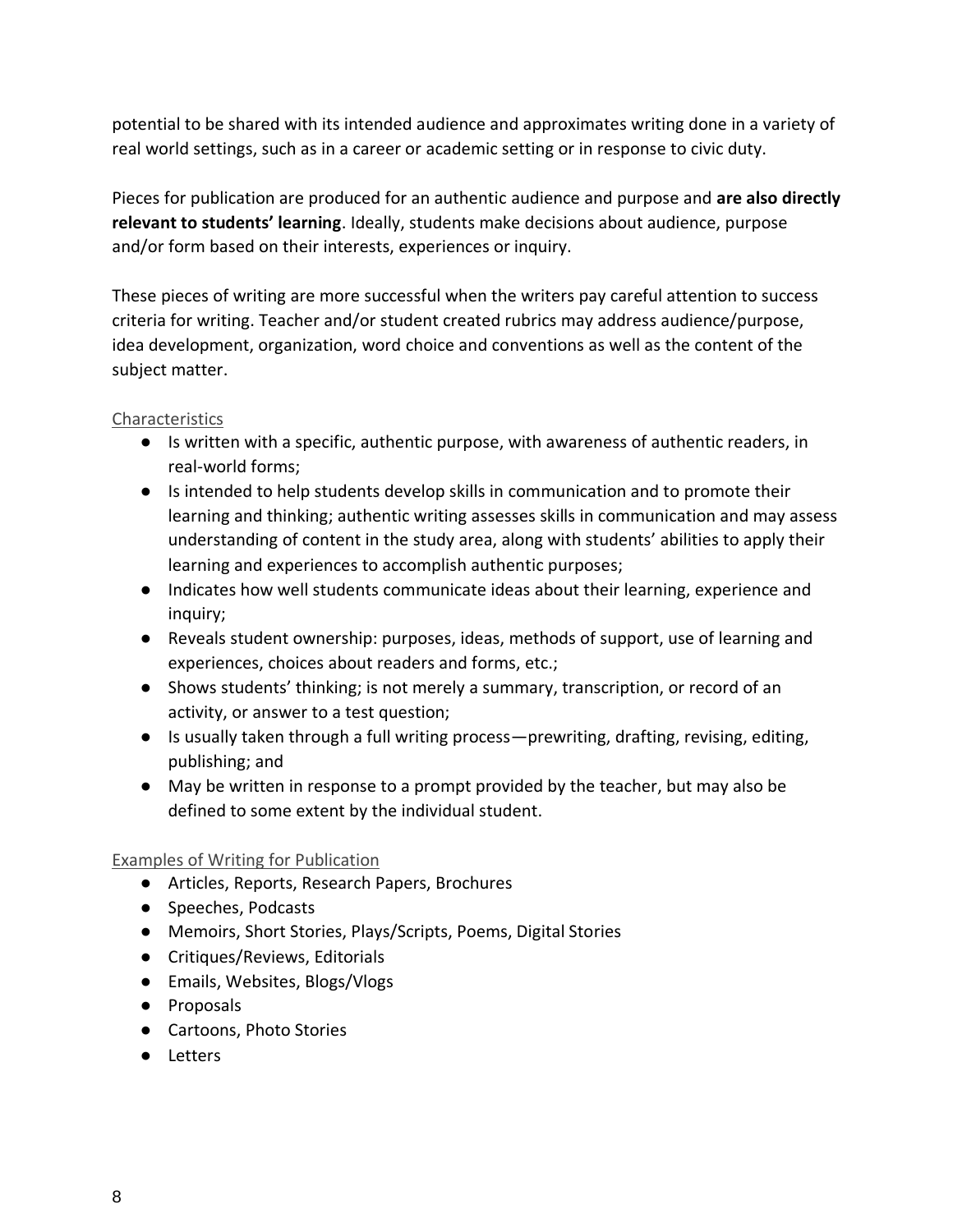potential to be shared with its intended audience and approximates writing done in a variety of real world settings, such as in a career or academic setting or in response to civic duty.

Pieces for publication are produced for an authentic audience and purpose and **are also directly relevant to students' learning**. Ideally, students make decisions about audience, purpose and/or form based on their interests, experiences or inquiry.

These pieces of writing are more successful when the writers pay careful attention to success criteria for writing. Teacher and/or student created rubrics may address audience/purpose, idea development, organization, word choice and conventions as well as the content of the subject matter.

#### Characteristics

- Is written with a specific, authentic purpose, with awareness of authentic readers, in real-world forms;
- Is intended to help students develop skills in communication and to promote their learning and thinking; authentic writing assesses skills in communication and may assess understanding of content in the study area, along with students' abilities to apply their learning and experiences to accomplish authentic purposes;
- Indicates how well students communicate ideas about their learning, experience and inquiry;
- Reveals student ownership: purposes, ideas, methods of support, use of learning and experiences, choices about readers and forms, etc.;
- Shows students' thinking; is not merely a summary, transcription, or record of an activity, or answer to a test question;
- Is usually taken through a full writing process—prewriting, drafting, revising, editing, publishing; and
- May be written in response to a prompt provided by the teacher, but may also be defined to some extent by the individual student.

#### Examples of Writing for Publication

- Articles, Reports, Research Papers, Brochures
- Speeches, Podcasts
- Memoirs, Short Stories, Plays/Scripts, Poems, Digital Stories
- Critiques/Reviews, Editorials
- Emails, Websites, Blogs/Vlogs
- Proposals
- Cartoons, Photo Stories
- Letters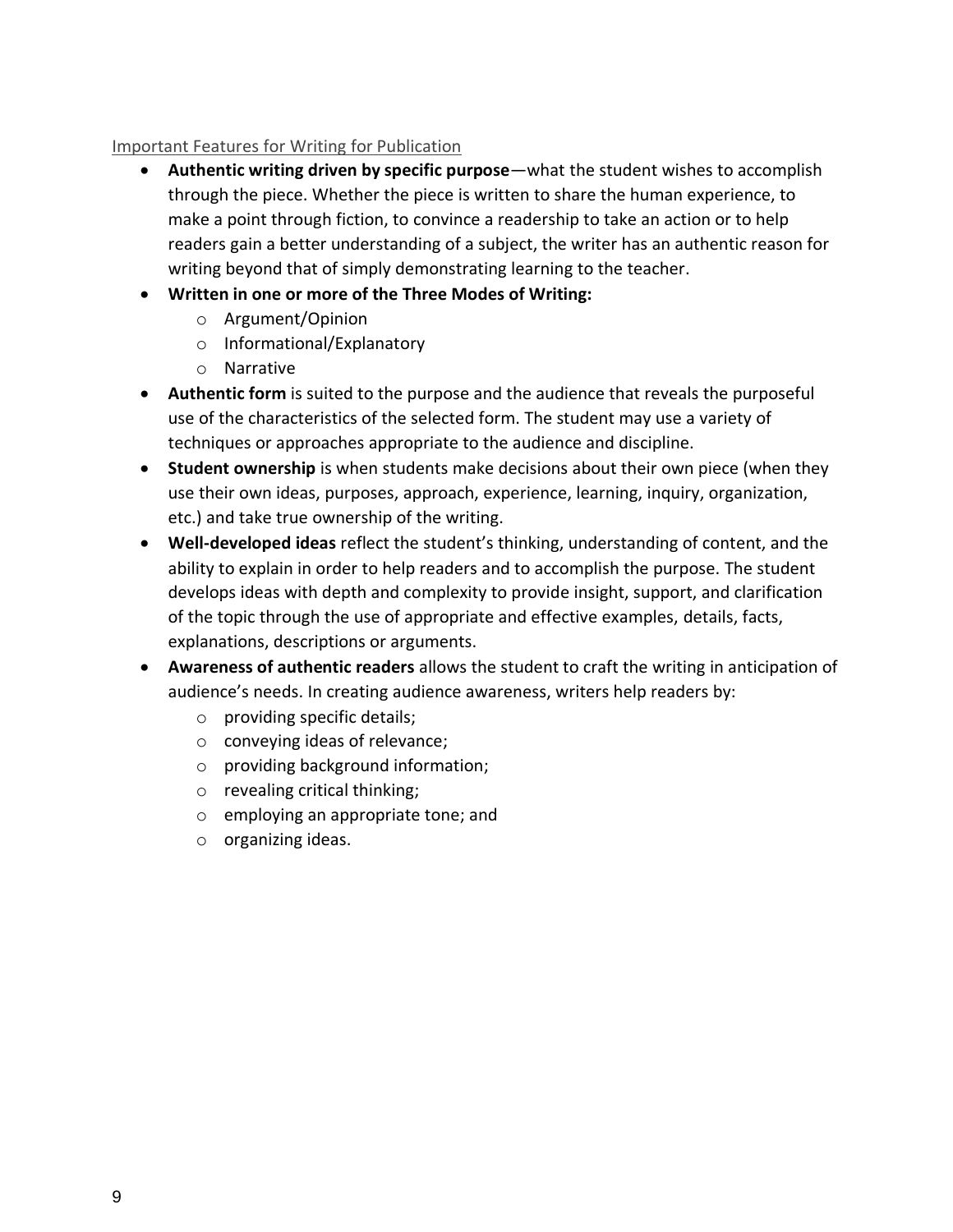#### Important Features for Writing for Publication

- **Authentic writing driven by specific purpose**—what the student wishes to accomplish through the piece. Whether the piece is written to share the human experience, to make a point through fiction, to convince a readership to take an action or to help readers gain a better understanding of a subject, the writer has an authentic reason for writing beyond that of simply demonstrating learning to the teacher.
- **Written in one or more of th[e](http://education.ky.gov/curriculum/conpro/writing/Documents/Three%20Modes%20of%20Writing%20in%20KCAS.pdf) Three Modes of Writing:**
	- o Argument/Opinion
	- o Informational/Explanatory
	- o Narrative
- **Authentic form** is suited to the purpose and the audience that reveals the purposeful use of the characteristics of the selected form. The student may use a variety of techniques or approaches appropriate to the audience and discipline.
- **Student ownership** is when students make decisions about their own piece (when they use their own ideas, purposes, approach, experience, learning, inquiry, organization, etc.) and take true ownership of the writing.
- **Well-developed ideas** reflect the student's thinking, understanding of content, and the ability to explain in order to help readers and to accomplish the purpose. The student develops ideas with depth and complexity to provide insight, support, and clarification of the topic through the use of appropriate and effective examples, details, facts, explanations, descriptions or arguments.
- **Awareness of authentic readers** allows the student to craft the writing in anticipation of audience's needs. In creating audience awareness, writers help readers by:
	- o providing specific details;
	- o conveying ideas of relevance;
	- o providing background information;
	- o revealing critical thinking;
	- o employing an appropriate tone; and
	- o organizing ideas.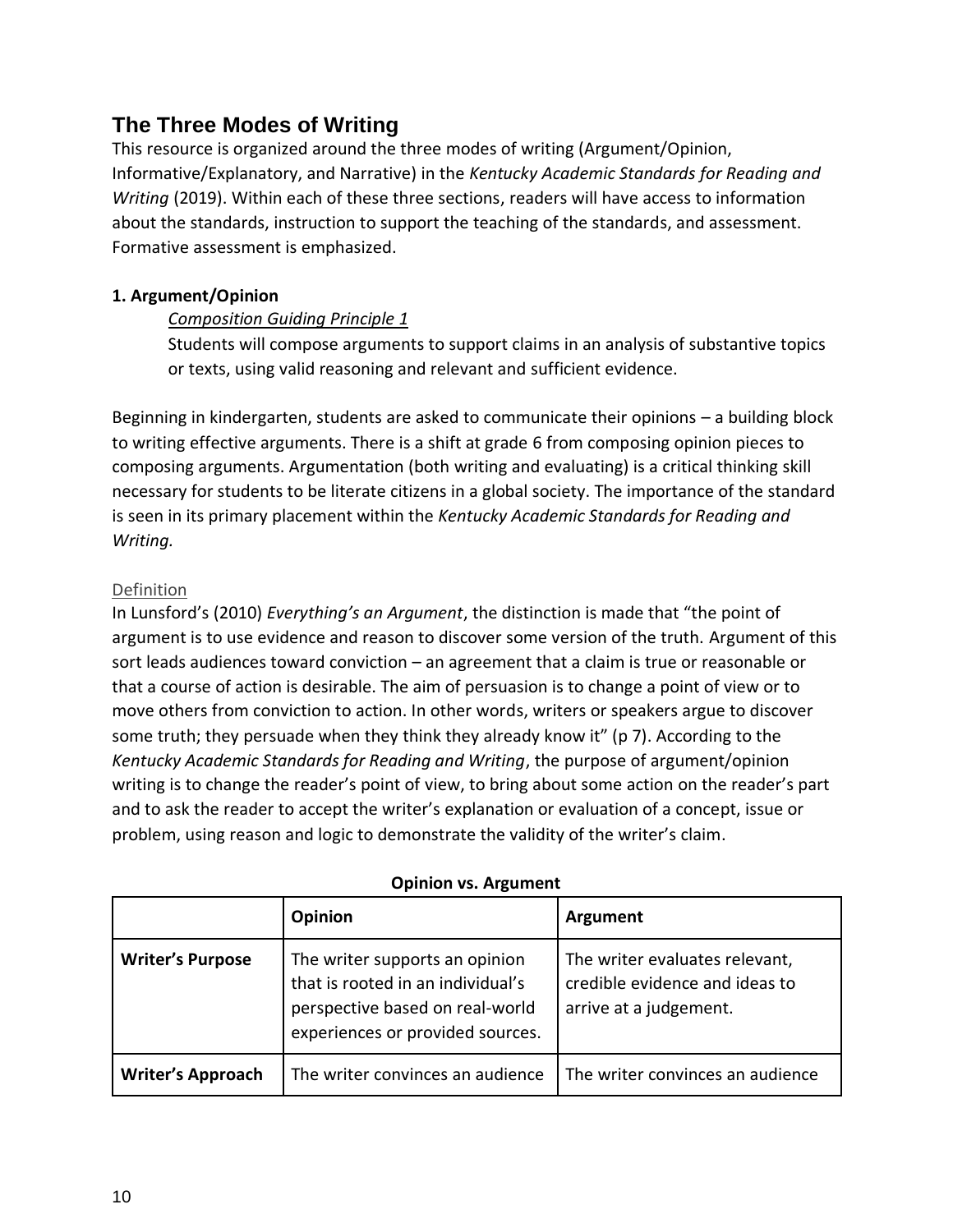### **The Three Modes of Writing**

This resource is organized around the three modes of writing (Argument/Opinion, Informative/Explanatory, and Narrative) in the *Kentucky Academic Standards for Reading and Writing* (2019). Within each of these three sections, readers will have access to information about the standards, instruction to support the teaching of the standards, and assessment. Formative assessment is emphasized.

#### **1. Argument/Opinion**

#### *Composition Guiding Principle 1*

Students will compose arguments to support claims in an analysis of substantive topics or texts, using valid reasoning and relevant and sufficient evidence.

Beginning in kindergarten, students are asked to communicate their opinions – a building block to writing effective arguments. There is a shift at grade 6 from composing opinion pieces to composing arguments. Argumentation (both writing and evaluating) is a critical thinking skill necessary for students to be literate citizens in a global society. The importance of the standard is seen in its primary placement within the *Kentucky Academic Standards for Reading and Writing.*

#### Definition

In Lunsford's (2010) *Everything's an Argument*, the distinction is made that "the point of argument is to use evidence and reason to discover some version of the truth. Argument of this sort leads audiences toward conviction – an agreement that a claim is true or reasonable or that a course of action is desirable. The aim of persuasion is to change a point of view or to move others from conviction to action. In other words, writers or speakers argue to discover some truth; they persuade when they think they already know it" (p 7). According to the *Kentucky Academic Standards for Reading and Writing*, the purpose of argument/opinion writing is to change the reader's point of view, to bring about some action on the reader's part and to ask the reader to accept the writer's explanation or evaluation of a concept, issue or problem, using reason and logic to demonstrate the validity of the writer's claim.

|                          | Opinion                                                                                                                                    | Argument                                                                                   |
|--------------------------|--------------------------------------------------------------------------------------------------------------------------------------------|--------------------------------------------------------------------------------------------|
| <b>Writer's Purpose</b>  | The writer supports an opinion<br>that is rooted in an individual's<br>perspective based on real-world<br>experiences or provided sources. | The writer evaluates relevant,<br>credible evidence and ideas to<br>arrive at a judgement. |
| <b>Writer's Approach</b> | The writer convinces an audience                                                                                                           | The writer convinces an audience                                                           |

#### **Opinion vs. Argument**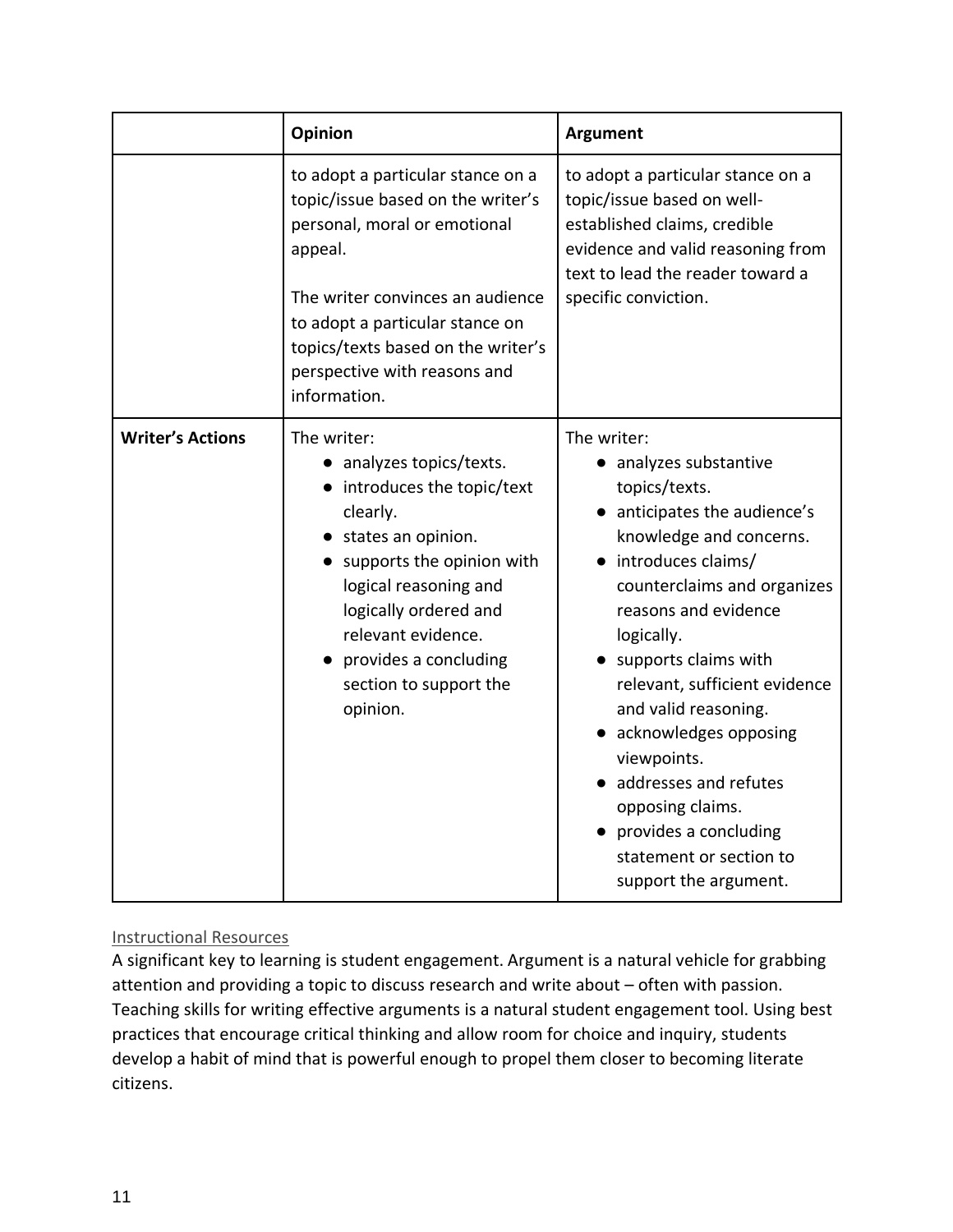|                         | Opinion                                                                                                                                                                                                                                                                          | <b>Argument</b>                                                                                                                                                                                                                                                                                                                                                                                                                                                   |
|-------------------------|----------------------------------------------------------------------------------------------------------------------------------------------------------------------------------------------------------------------------------------------------------------------------------|-------------------------------------------------------------------------------------------------------------------------------------------------------------------------------------------------------------------------------------------------------------------------------------------------------------------------------------------------------------------------------------------------------------------------------------------------------------------|
|                         | to adopt a particular stance on a<br>topic/issue based on the writer's<br>personal, moral or emotional<br>appeal.<br>The writer convinces an audience<br>to adopt a particular stance on<br>topics/texts based on the writer's<br>perspective with reasons and<br>information.   | to adopt a particular stance on a<br>topic/issue based on well-<br>established claims, credible<br>evidence and valid reasoning from<br>text to lead the reader toward a<br>specific conviction.                                                                                                                                                                                                                                                                  |
| <b>Writer's Actions</b> | The writer:<br>• analyzes topics/texts.<br>• introduces the topic/text<br>clearly.<br>• states an opinion.<br>• supports the opinion with<br>logical reasoning and<br>logically ordered and<br>relevant evidence.<br>provides a concluding<br>section to support the<br>opinion. | The writer:<br>• analyzes substantive<br>topics/texts.<br>anticipates the audience's<br>knowledge and concerns.<br>· introduces claims/<br>counterclaims and organizes<br>reasons and evidence<br>logically.<br>supports claims with<br>relevant, sufficient evidence<br>and valid reasoning.<br>acknowledges opposing<br>viewpoints.<br>• addresses and refutes<br>opposing claims.<br>provides a concluding<br>statement or section to<br>support the argument. |

#### Instructional Resources

A significant key to learning is student engagement. Argument is a natural vehicle for grabbing attention and providing a topic to discuss research and write about – often with passion. Teaching skills for writing effective arguments is a natural student engagement tool. Using best practices that encourage critical thinking and allow room for choice and inquiry, students develop a habit of mind that is powerful enough to propel them closer to becoming literate citizens.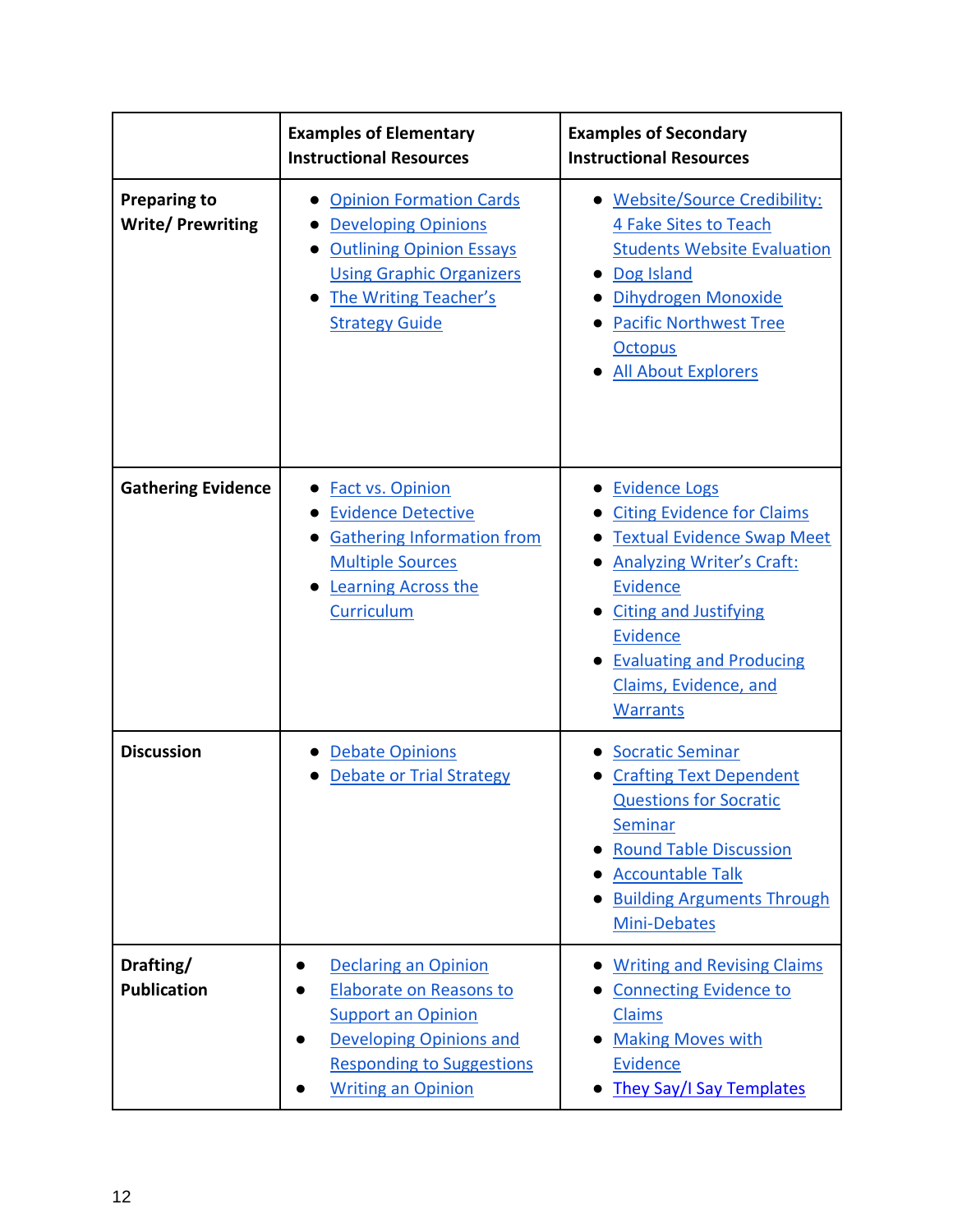|                                                | <b>Examples of Elementary</b><br><b>Instructional Resources</b>                                                                                                                        | <b>Examples of Secondary</b><br><b>Instructional Resources</b>                                                                                                                                                                                                                          |
|------------------------------------------------|----------------------------------------------------------------------------------------------------------------------------------------------------------------------------------------|-----------------------------------------------------------------------------------------------------------------------------------------------------------------------------------------------------------------------------------------------------------------------------------------|
| <b>Preparing to</b><br><b>Write/Prewriting</b> | <b>Opinion Formation Cards</b><br><b>Developing Opinions</b><br><b>Outlining Opinion Essays</b><br><b>Using Graphic Organizers</b><br>The Writing Teacher's<br><b>Strategy Guide</b>   | • Website/Source Credibility:<br>4 Fake Sites to Teach<br><b>Students Website Evaluation</b><br>Dog Island<br>Dihydrogen Monoxide<br><b>Pacific Northwest Tree</b><br><b>Octopus</b><br><b>All About Explorers</b>                                                                      |
| <b>Gathering Evidence</b>                      | <b>Fact vs. Opinion</b><br><b>Evidence Detective</b><br><b>Gathering Information from</b><br><b>Multiple Sources</b><br><b>Learning Across the</b><br>Curriculum                       | <b>Evidence Logs</b><br><b>Citing Evidence for Claims</b><br><b>Textual Evidence Swap Meet</b><br><b>Analyzing Writer's Craft:</b><br><b>Evidence</b><br><b>Citing and Justifying</b><br><b>Evidence</b><br><b>Evaluating and Producing</b><br>Claims, Evidence, and<br><b>Warrants</b> |
| <b>Discussion</b>                              | <b>Debate Opinions</b><br><b>Debate or Trial Strategy</b>                                                                                                                              | <b>Socratic Seminar</b><br><b>Crafting Text Dependent</b><br><b>Questions for Socratic</b><br>Seminar<br><b>Round Table Discussion</b><br><b>Accountable Talk</b><br><b>Building Arguments Through</b><br>Mini-Debates                                                                  |
| Drafting/<br><b>Publication</b>                | <b>Declaring an Opinion</b><br>Elaborate on Reasons to<br><b>Support an Opinion</b><br><b>Developing Opinions and</b><br><b>Responding to Suggestions</b><br><b>Writing an Opinion</b> | <b>Writing and Revising Claims</b><br><b>Connecting Evidence to</b><br>Claims<br><b>Making Moves with</b><br>Evidence<br><b>They Say/I Say Templates</b>                                                                                                                                |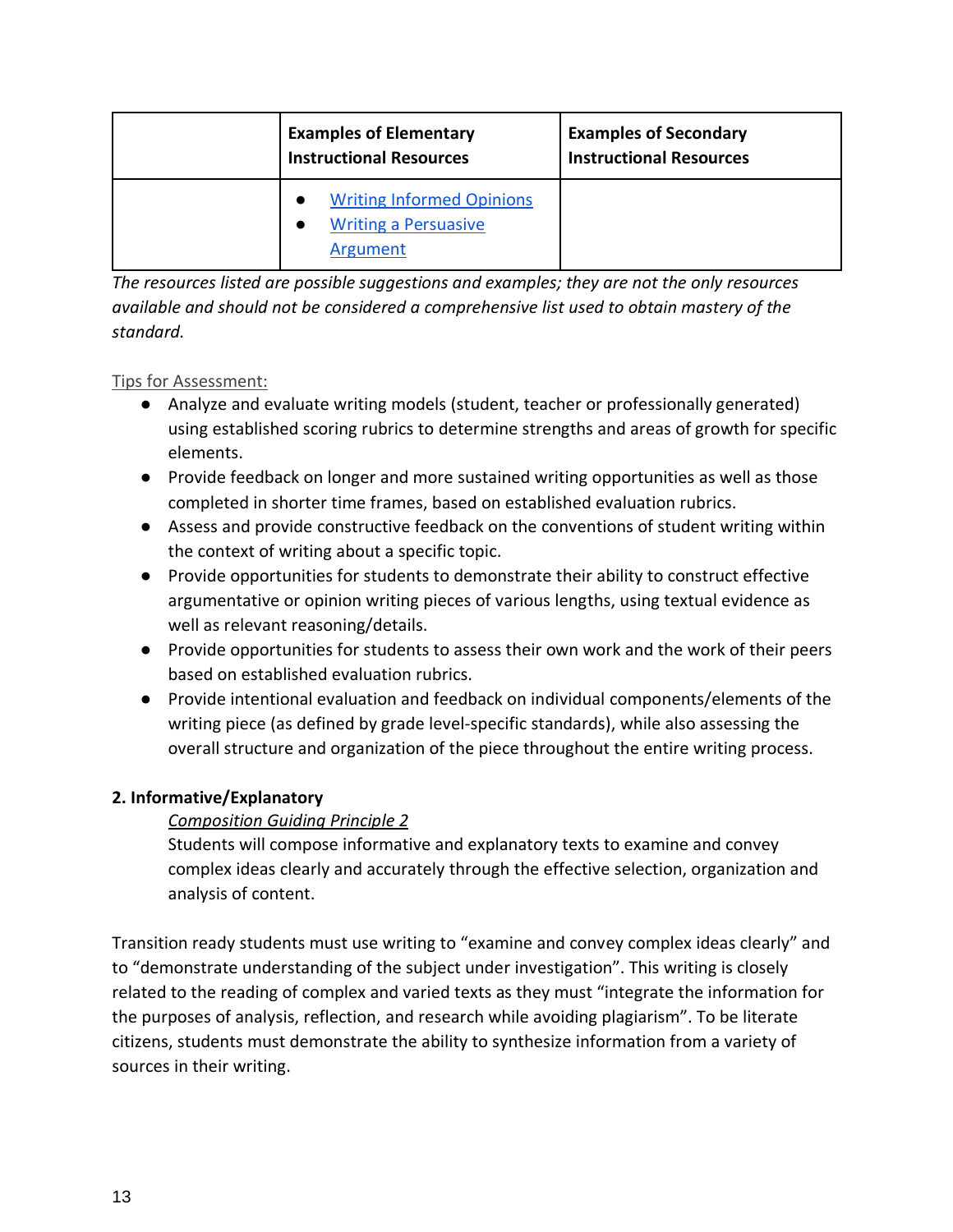| <b>Examples of Elementary</b><br><b>Instructional Resources</b>             | <b>Examples of Secondary</b><br><b>Instructional Resources</b> |
|-----------------------------------------------------------------------------|----------------------------------------------------------------|
| <b>Writing Informed Opinions</b><br><b>Writing a Persuasive</b><br>Argument |                                                                |

*The resources listed are possible suggestions and examples; they are not the only resources available and should not be considered a comprehensive list used to obtain mastery of the standard.*

#### Tips for Assessment:

- Analyze and evaluate writing models (student, teacher or professionally generated) using established scoring rubrics to determine strengths and areas of growth for specific elements.
- Provide feedback on longer and more sustained writing opportunities as well as those completed in shorter time frames, based on established evaluation rubrics.
- Assess and provide constructive feedback on the conventions of student writing within the context of writing about a specific topic.
- Provide opportunities for students to demonstrate their ability to construct effective argumentative or opinion writing pieces of various lengths, using textual evidence as well as relevant reasoning/details.
- Provide opportunities for students to assess their own work and the work of their peers based on established evaluation rubrics.
- Provide intentional evaluation and feedback on individual components/elements of the writing piece (as defined by grade level-specific standards), while also assessing the overall structure and organization of the piece throughout the entire writing process.

#### **2. Informative/Explanatory**

#### *Composition Guiding Principle 2*

Students will compose informative and explanatory texts to examine and convey complex ideas clearly and accurately through the effective selection, organization and analysis of content.

Transition ready students must use writing to "examine and convey complex ideas clearly" and to "demonstrate understanding of the subject under investigation". This writing is closely related to the reading of complex and varied texts as they must "integrate the information for the purposes of analysis, reflection, and research while avoiding plagiarism". To be literate citizens, students must demonstrate the ability to synthesize information from a variety of sources in their writing.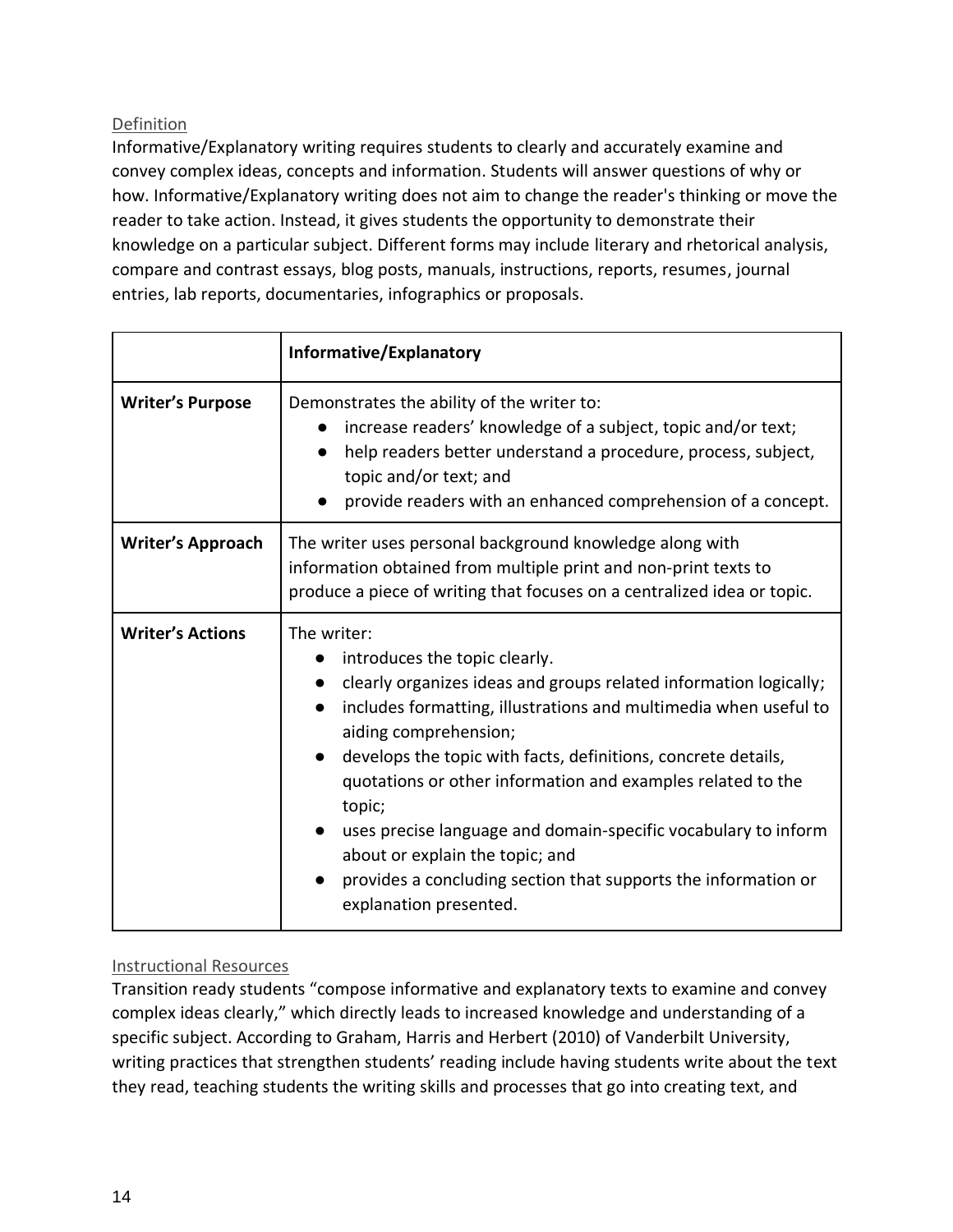#### Definition

Informative/Explanatory writing requires students to clearly and accurately examine and convey complex ideas, concepts and information. Students will answer questions of why or how. Informative/Explanatory writing does not aim to change the reader's thinking or move the reader to take action. Instead, it gives students the opportunity to demonstrate their knowledge on a particular subject. Different forms may include literary and rhetorical analysis, compare and contrast essays, blog posts, manuals, instructions, reports, resumes, journal entries, lab reports, documentaries, infographics or proposals.

|                          | Informative/Explanatory                                                                                                                                                                                                                                                                                                                                                                                                                                                                                                                                   |  |
|--------------------------|-----------------------------------------------------------------------------------------------------------------------------------------------------------------------------------------------------------------------------------------------------------------------------------------------------------------------------------------------------------------------------------------------------------------------------------------------------------------------------------------------------------------------------------------------------------|--|
| <b>Writer's Purpose</b>  | Demonstrates the ability of the writer to:<br>increase readers' knowledge of a subject, topic and/or text;<br>$\bullet$<br>help readers better understand a procedure, process, subject,<br>topic and/or text; and<br>provide readers with an enhanced comprehension of a concept.                                                                                                                                                                                                                                                                        |  |
| <b>Writer's Approach</b> | The writer uses personal background knowledge along with<br>information obtained from multiple print and non-print texts to<br>produce a piece of writing that focuses on a centralized idea or topic.                                                                                                                                                                                                                                                                                                                                                    |  |
| <b>Writer's Actions</b>  | The writer:<br>introduces the topic clearly.<br>clearly organizes ideas and groups related information logically;<br>includes formatting, illustrations and multimedia when useful to<br>aiding comprehension;<br>develops the topic with facts, definitions, concrete details,<br>quotations or other information and examples related to the<br>topic;<br>uses precise language and domain-specific vocabulary to inform<br>about or explain the topic; and<br>provides a concluding section that supports the information or<br>explanation presented. |  |

#### Instructional Resources

Transition ready students "compose informative and explanatory texts to examine and convey complex ideas clearly," which directly leads to increased knowledge and understanding of a specific subject. According to Graham, Harris and Herbert (2010) of Vanderbilt University, writing practices that strengthen students' reading include having students write about the text they read, teaching students the writing skills and processes that go into creating text, and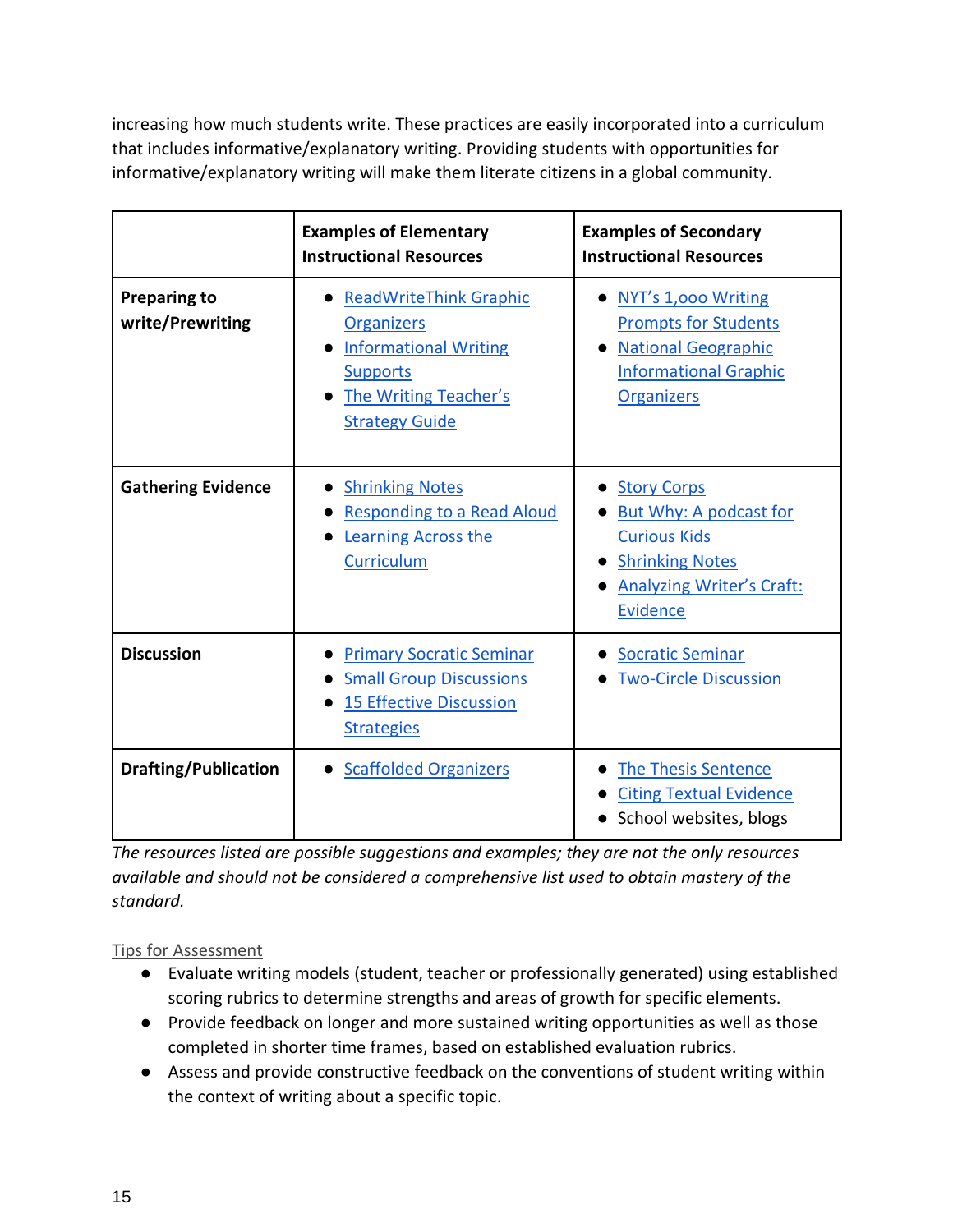increasing how much students write. These practices are easily incorporated into a curriculum that includes informative/explanatory writing. Providing students with opportunities for informative/explanatory writing will make them literate citizens in a global community.

|                                         | <b>Examples of Elementary</b><br><b>Instructional Resources</b>                                                                                                | <b>Examples of Secondary</b><br><b>Instructional Resources</b>                                                                                       |
|-----------------------------------------|----------------------------------------------------------------------------------------------------------------------------------------------------------------|------------------------------------------------------------------------------------------------------------------------------------------------------|
| <b>Preparing to</b><br>write/Prewriting | <b>ReadWriteThink Graphic</b><br><b>Organizers</b><br><b>Informational Writing</b><br><b>Supports</b><br><b>The Writing Teacher's</b><br><b>Strategy Guide</b> | NYT's 1,000 Writing<br><b>Prompts for Students</b><br><b>National Geographic</b><br><b>Informational Graphic</b><br><b>Organizers</b>                |
| <b>Gathering Evidence</b>               | <b>Shrinking Notes</b><br><b>Responding to a Read Aloud</b><br>Learning Across the<br>Curriculum                                                               | <b>Story Corps</b><br>But Why: A podcast for<br><b>Curious Kids</b><br><b>Shrinking Notes</b><br><b>Analyzing Writer's Craft:</b><br><b>Evidence</b> |
| <b>Discussion</b>                       | <b>Primary Socratic Seminar</b><br><b>Small Group Discussions</b><br><b>15 Effective Discussion</b><br><b>Strategies</b>                                       | <b>Socratic Seminar</b><br><b>Two-Circle Discussion</b>                                                                                              |
| <b>Drafting/Publication</b>             | • Scaffolded Organizers                                                                                                                                        | The Thesis Sentence<br><b>Citing Textual Evidence</b><br>School websites, blogs                                                                      |

*The resources listed are possible suggestions and examples; they are not the only resources available and should not be considered a comprehensive list used to obtain mastery of the standard.*

#### Tips for Assessment

- Evaluate writing models (student, teacher or professionally generated) using established scoring rubrics to determine strengths and areas of growth for specific elements.
- Provide feedback on longer and more sustained writing opportunities as well as those completed in shorter time frames, based on established evaluation rubrics.
- Assess and provide constructive feedback on the conventions of student writing within the context of writing about a specific topic.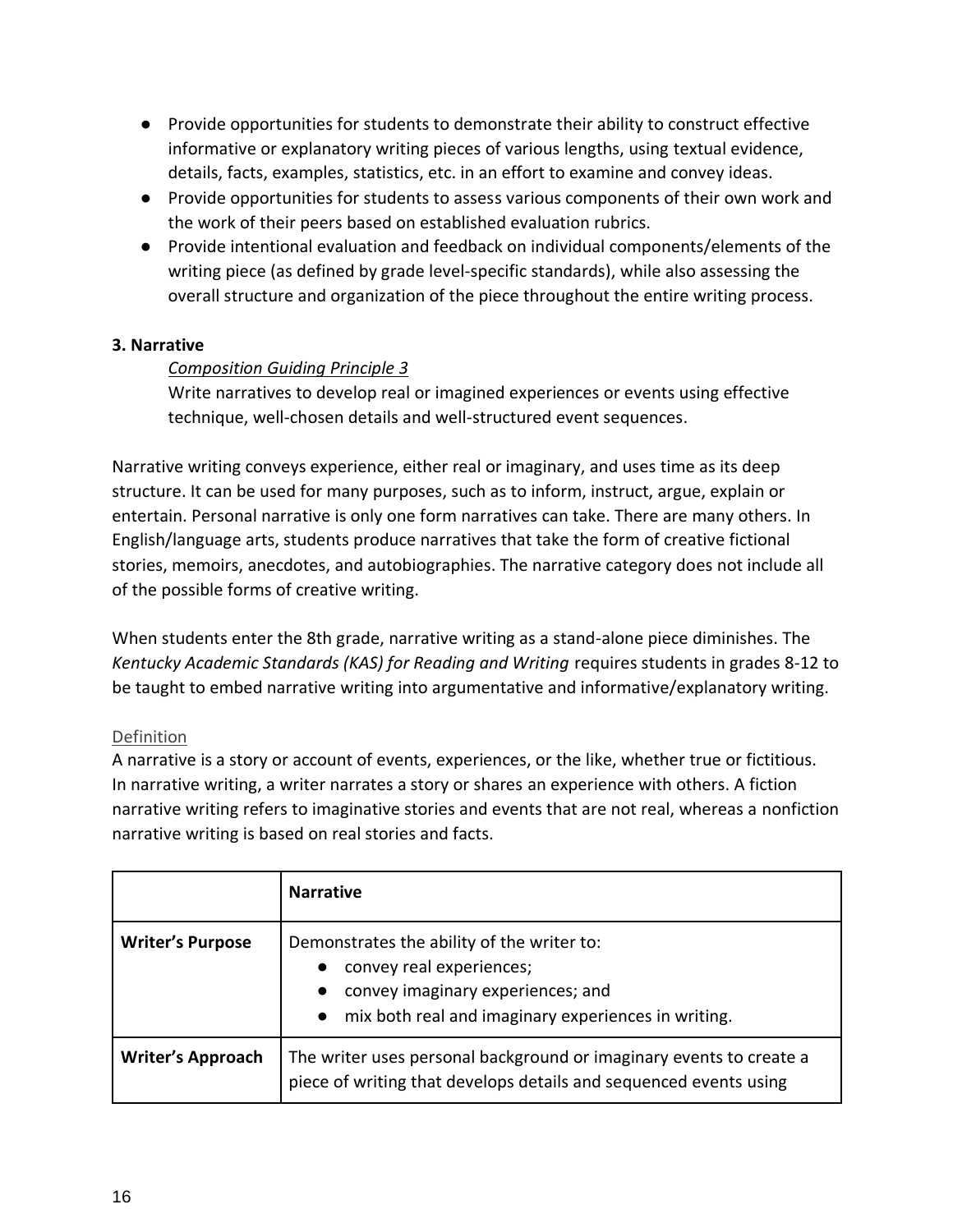- Provide opportunities for students to demonstrate their ability to construct effective informative or explanatory writing pieces of various lengths, using textual evidence, details, facts, examples, statistics, etc. in an effort to examine and convey ideas.
- Provide opportunities for students to assess various components of their own work and the work of their peers based on established evaluation rubrics.
- Provide intentional evaluation and feedback on individual components/elements of the writing piece (as defined by grade level-specific standards), while also assessing the overall structure and organization of the piece throughout the entire writing process.

#### **3. Narrative**

#### *Composition Guiding Principle 3*

Write narratives to develop real or imagined experiences or events using effective technique, well-chosen details and well-structured event sequences.

Narrative writing conveys experience, either real or imaginary, and uses time as its deep structure. It can be used for many purposes, such as to inform, instruct, argue, explain or entertain. Personal narrative is only one form narratives can take. There are many others. In English/language arts, students produce narratives that take the form of creative fictional stories, memoirs, anecdotes, and autobiographies. The narrative category does not include all of the possible forms of creative writing.

When students enter the 8th grade, narrative writing as a stand-alone piece diminishes. The *Kentucky Academic Standards (KAS) for Reading and Writing* requires students in grades 8-12 to be taught to embed narrative writing into argumentative and informative/explanatory writing.

#### Definition

A narrative is a story or account of events, experiences, or the like, whether true or fictitious. In narrative writing, a writer narrates a story or shares an experience with others. A fiction narrative writing refers to imaginative stories and events that are not real, whereas a nonfiction narrative writing is based on real stories and facts.

|                          | <b>Narrative</b>                                                                                                                                                                               |
|--------------------------|------------------------------------------------------------------------------------------------------------------------------------------------------------------------------------------------|
| <b>Writer's Purpose</b>  | Demonstrates the ability of the writer to:<br>convey real experiences;<br>$\bullet$<br>convey imaginary experiences; and<br>$\bullet$<br>• mix both real and imaginary experiences in writing. |
| <b>Writer's Approach</b> | The writer uses personal background or imaginary events to create a<br>piece of writing that develops details and sequenced events using                                                       |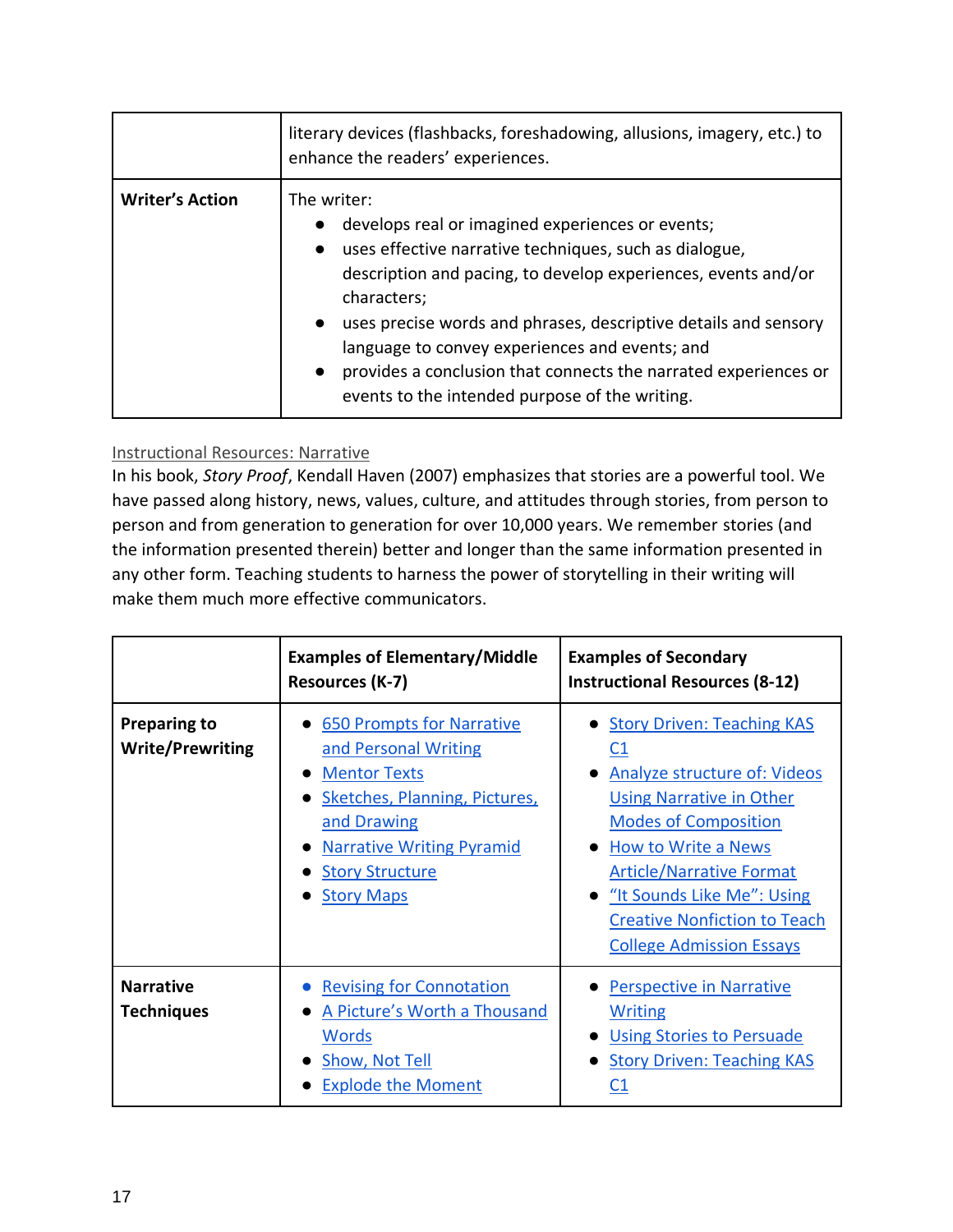|                        | literary devices (flashbacks, foreshadowing, allusions, imagery, etc.) to<br>enhance the readers' experiences.                                                                                                                                                                                                                                                                                                                                                       |  |
|------------------------|----------------------------------------------------------------------------------------------------------------------------------------------------------------------------------------------------------------------------------------------------------------------------------------------------------------------------------------------------------------------------------------------------------------------------------------------------------------------|--|
| <b>Writer's Action</b> | The writer:<br>develops real or imagined experiences or events;<br>$\bullet$<br>• uses effective narrative techniques, such as dialogue,<br>description and pacing, to develop experiences, events and/or<br>characters;<br>• uses precise words and phrases, descriptive details and sensory<br>language to convey experiences and events; and<br>provides a conclusion that connects the narrated experiences or<br>events to the intended purpose of the writing. |  |

#### Instructional Resources: Narrative

In his book, *Story Proof*, Kendall Haven (2007) emphasizes that stories are a powerful tool. We have passed along history, news, values, culture, and attitudes through stories, from person to person and from generation to generation for over 10,000 years. We remember stories (and the information presented therein) better and longer than the same information presented in any other form. Teaching students to harness the power of storytelling in their writing will make them much more effective communicators.

|                                                | <b>Examples of Elementary/Middle</b><br>Resources (K-7)                                                                                                                                                                           | <b>Examples of Secondary</b><br><b>Instructional Resources (8-12)</b>                                                                                                                                                                                                                                                         |
|------------------------------------------------|-----------------------------------------------------------------------------------------------------------------------------------------------------------------------------------------------------------------------------------|-------------------------------------------------------------------------------------------------------------------------------------------------------------------------------------------------------------------------------------------------------------------------------------------------------------------------------|
| <b>Preparing to</b><br><b>Write/Prewriting</b> | • 650 Prompts for Narrative<br>and Personal Writing<br><b>Mentor Texts</b><br>$\bullet$<br><b>Sketches, Planning, Pictures,</b><br>and Drawing<br><b>Narrative Writing Pyramid</b><br><b>Story Structure</b><br><b>Story Maps</b> | • Story Driven: Teaching KAS<br>C <sub>1</sub><br><b>Analyze structure of: Videos</b><br><b>Using Narrative in Other</b><br><b>Modes of Composition</b><br>• How to Write a News<br><b>Article/Narrative Format</b><br>• "It Sounds Like Me": Using<br><b>Creative Nonfiction to Teach</b><br><b>College Admission Essays</b> |
| <b>Narrative</b><br><b>Techniques</b>          | <b>Revising for Connotation</b><br>A Picture's Worth a Thousand<br>Words<br>Show, Not Tell<br><b>Explode the Moment</b>                                                                                                           | <b>Perspective in Narrative</b><br><b>Writing</b><br><b>Using Stories to Persuade</b><br><b>Story Driven: Teaching KAS</b>                                                                                                                                                                                                    |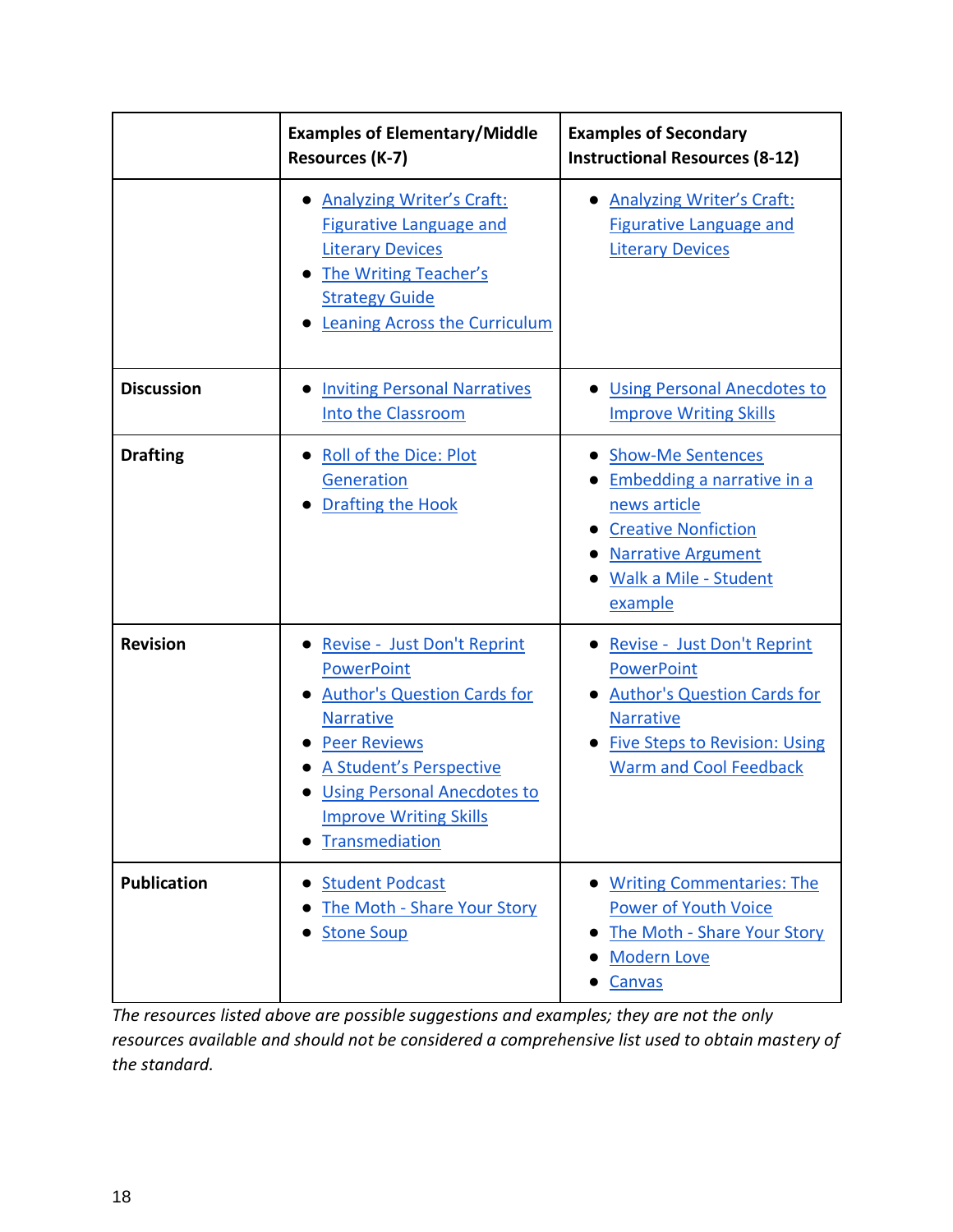|                    | <b>Examples of Elementary/Middle</b><br><b>Resources (K-7)</b>                                                                                                                                                                                        | <b>Examples of Secondary</b><br><b>Instructional Resources (8-12)</b>                                                                                                               |
|--------------------|-------------------------------------------------------------------------------------------------------------------------------------------------------------------------------------------------------------------------------------------------------|-------------------------------------------------------------------------------------------------------------------------------------------------------------------------------------|
|                    | <b>Analyzing Writer's Craft:</b><br><b>Figurative Language and</b><br><b>Literary Devices</b><br><b>The Writing Teacher's</b><br><b>Strategy Guide</b><br><b>Leaning Across the Curriculum</b>                                                        | • Analyzing Writer's Craft:<br>Figurative Language and<br><b>Literary Devices</b>                                                                                                   |
| <b>Discussion</b>  | <b>Inviting Personal Narratives</b><br>Into the Classroom                                                                                                                                                                                             | <b>Using Personal Anecdotes to</b><br><b>Improve Writing Skills</b>                                                                                                                 |
| <b>Drafting</b>    | <b>Roll of the Dice: Plot</b><br>Generation<br><b>Drafting the Hook</b>                                                                                                                                                                               | <b>Show-Me Sentences</b><br>Embedding a narrative in a<br>news article<br><b>Creative Nonfiction</b><br><b>Narrative Argument</b><br>Walk a Mile - Student<br>example               |
| <b>Revision</b>    | Revise - Just Don't Reprint<br><b>PowerPoint</b><br><b>Author's Question Cards for</b><br><b>Narrative</b><br><b>Peer Reviews</b><br>A Student's Perspective<br><b>Using Personal Anecdotes to</b><br><b>Improve Writing Skills</b><br>Transmediation | Revise - Just Don't Reprint<br><b>PowerPoint</b><br><b>Author's Question Cards for</b><br><b>Narrative</b><br><b>Five Steps to Revision: Using</b><br><b>Warm and Cool Feedback</b> |
| <b>Publication</b> | <b>Student Podcast</b><br>The Moth - Share Your Story<br><b>Stone Soup</b>                                                                                                                                                                            | <b>Writing Commentaries: The</b><br><b>Power of Youth Voice</b><br>The Moth - Share Your Story<br><b>Modern Love</b><br>Canvas                                                      |

*The resources listed above are possible suggestions and examples; they are not the only resources available and should not be considered a comprehensive list used to obtain mastery of the standard.*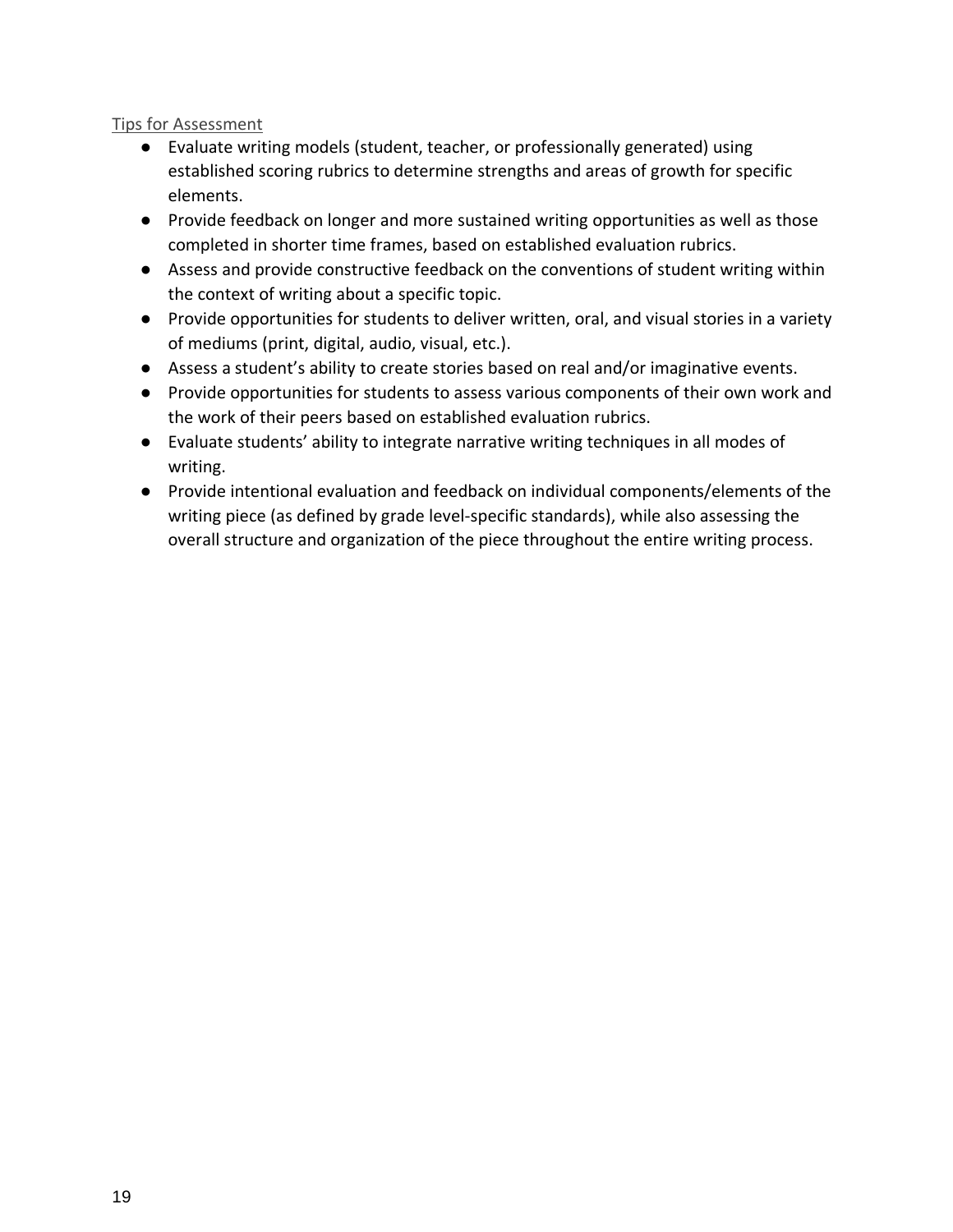#### Tips for Assessment

- Evaluate writing models (student, teacher, or professionally generated) using established scoring rubrics to determine strengths and areas of growth for specific elements.
- Provide feedback on longer and more sustained writing opportunities as well as those completed in shorter time frames, based on established evaluation rubrics.
- Assess and provide constructive feedback on the conventions of student writing within the context of writing about a specific topic.
- Provide opportunities for students to deliver written, oral, and visual stories in a variety of mediums (print, digital, audio, visual, etc.).
- Assess a student's ability to create stories based on real and/or imaginative events.
- Provide opportunities for students to assess various components of their own work and the work of their peers based on established evaluation rubrics.
- Evaluate students' ability to integrate narrative writing techniques in all modes of writing.
- Provide intentional evaluation and feedback on individual components/elements of the writing piece (as defined by grade level-specific standards), while also assessing the overall structure and organization of the piece throughout the entire writing process.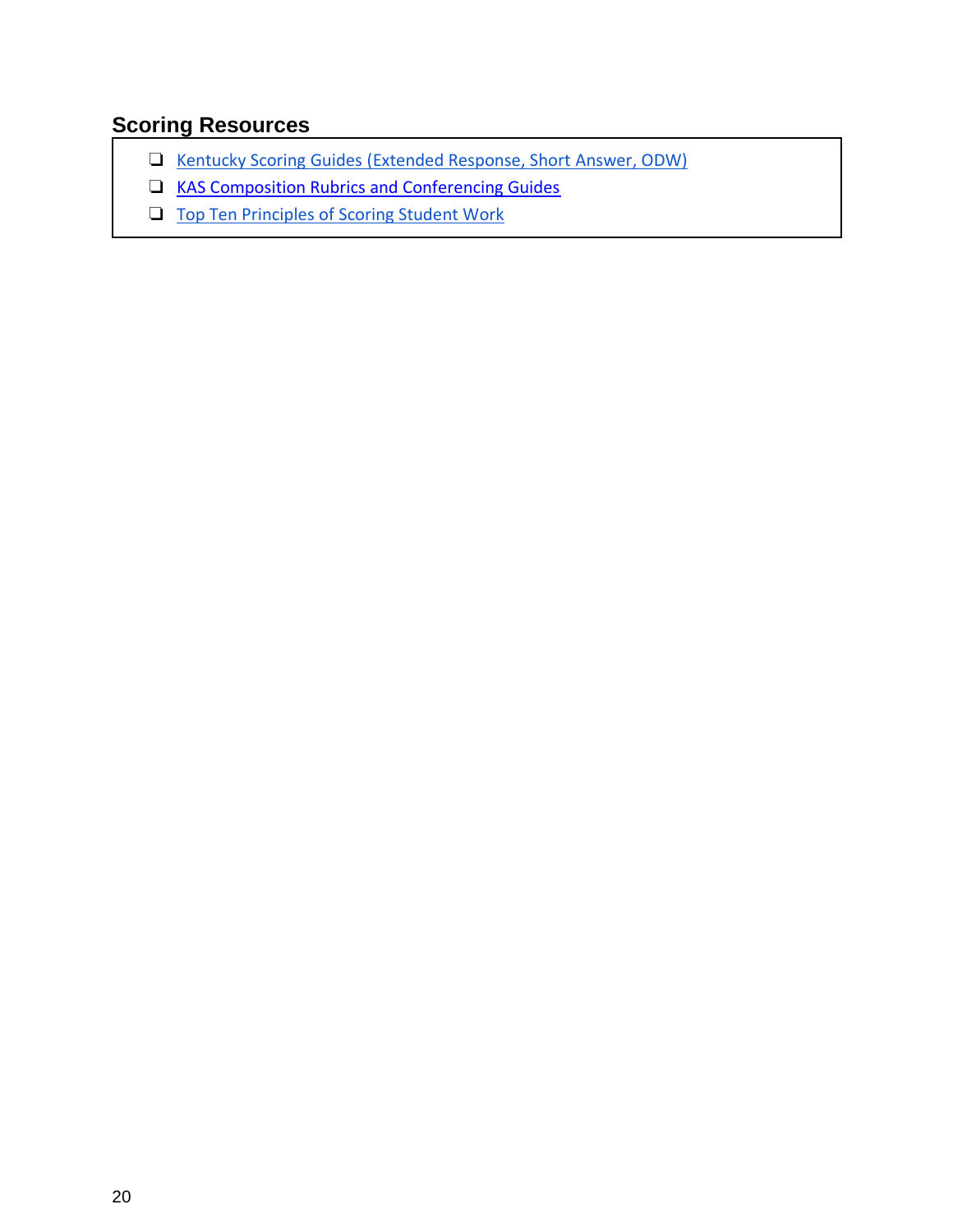### **Scoring Resources**

- ❏ [Kentucky Scoring Guides \(Extended Response, Short Answer, ODW\)](https://education.ky.gov/AA/Assessments/Pages/K-PREP.aspx)
- ❏ [KAS Composition Rubrics and Conferencing Guides](https://kystandards.org/standards-resources/rw-resources/composition-resources/)
- ❏ [Top Ten Principles of Scoring Student Work](https://ldc-production-secure.s3.amazonaws.com/resource_files/files/000/000/423/original/MASTER_LDC_Scoring-Student-Work_Top_Ten.pdf)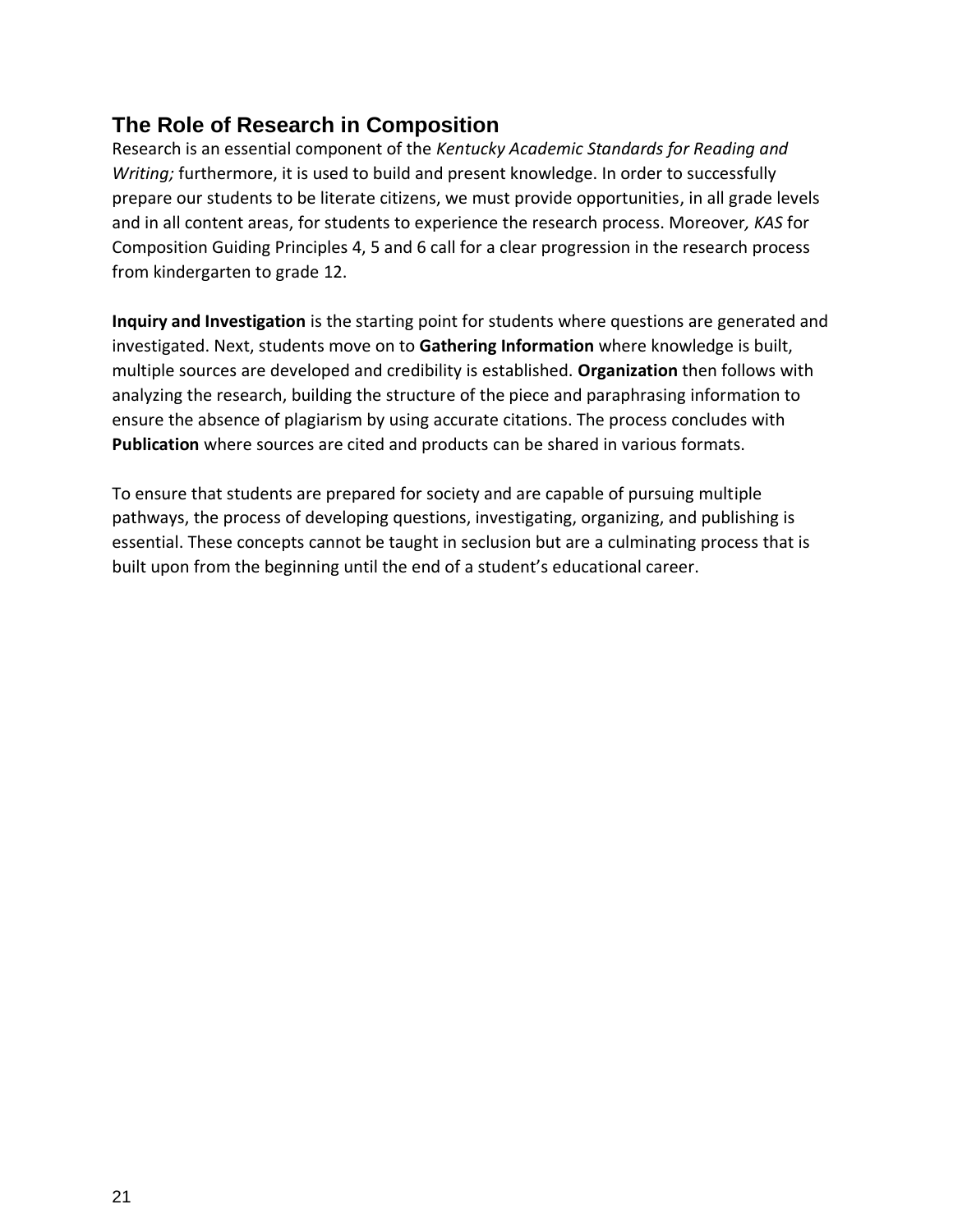### **The Role of Research in Composition**

Research is an essential component of the *Kentucky Academic Standards for Reading and Writing;* furthermore, it is used to build and present knowledge. In order to successfully prepare our students to be literate citizens, we must provide opportunities, in all grade levels and in all content areas, for students to experience the research process. Moreover*, KAS* for Composition Guiding Principles 4, 5 and 6 call for a clear progression in the research process from kindergarten to grade 12.

**Inquiry and Investigation** is the starting point for students where questions are generated and investigated. Next, students move on to **Gathering Information** where knowledge is built, multiple sources are developed and credibility is established. **Organization** then follows with analyzing the research, building the structure of the piece and paraphrasing information to ensure the absence of plagiarism by using accurate citations. The process concludes with **Publication** where sources are cited and products can be shared in various formats.

To ensure that students are prepared for society and are capable of pursuing multiple pathways, the process of developing questions, investigating, organizing, and publishing is essential. These concepts cannot be taught in seclusion but are a culminating process that is built upon from the beginning until the end of a student's educational career.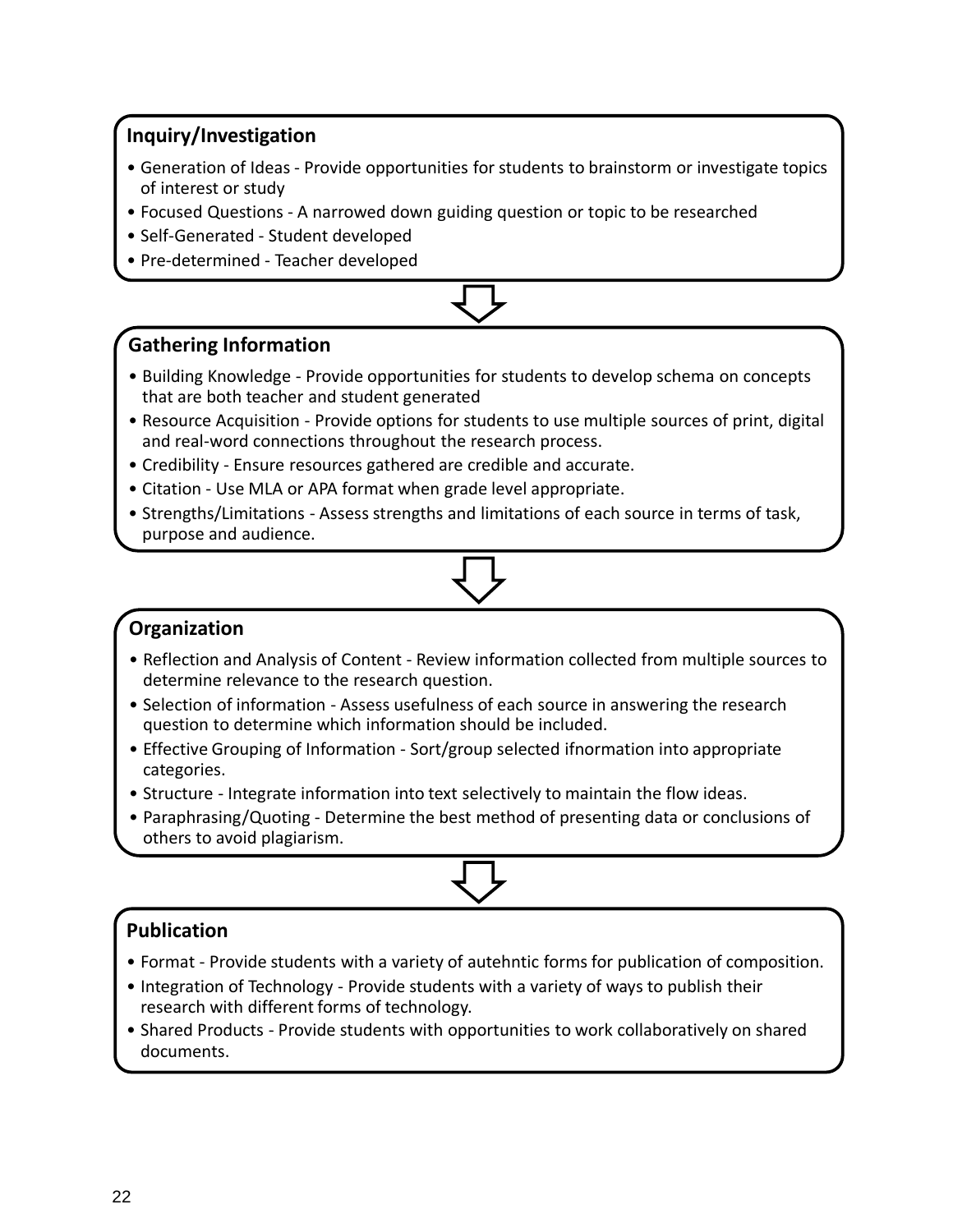#### **Inquiry/Investigation**

- Generation of Ideas Provide opportunities for students to brainstorm or investigate topics of interest or study
- Focused Questions A narrowed down guiding question or topic to be researched
- Self-Generated Student developed
- Pre-determined Teacher developed



#### **Gathering Information**

- Building Knowledge Provide opportunities for students to develop schema on concepts that are both teacher and student generated
- Resource Acquisition Provide options for students to use multiple sources of print, digital and real-word connections throughout the research process.
- Credibility Ensure resources gathered are credible and accurate.
- Citation Use MLA or APA format when grade level appropriate.
- Strengths/Limitations Assess strengths and limitations of each source in terms of task, purpose and audience.

#### **Organization**

- Reflection and Analysis of Content Review information collected from multiple sources to determine relevance to the research question.
- Selection of information Assess usefulness of each source in answering the research question to determine which information should be included.
- Effective Grouping of Information Sort/group selected ifnormation into appropriate categories.
- Structure Integrate information into text selectively to maintain the flow ideas.
- Paraphrasing/Quoting Determine the best method of presenting data or conclusions of others to avoid plagiarism.



### **Publication**

- Format Provide students with a variety of autehntic forms for publication of composition.
- Integration of Technology Provide students with a variety of ways to publish their research with different forms of technology.
- Shared Products Provide students with opportunities to work collaboratively on shared documents.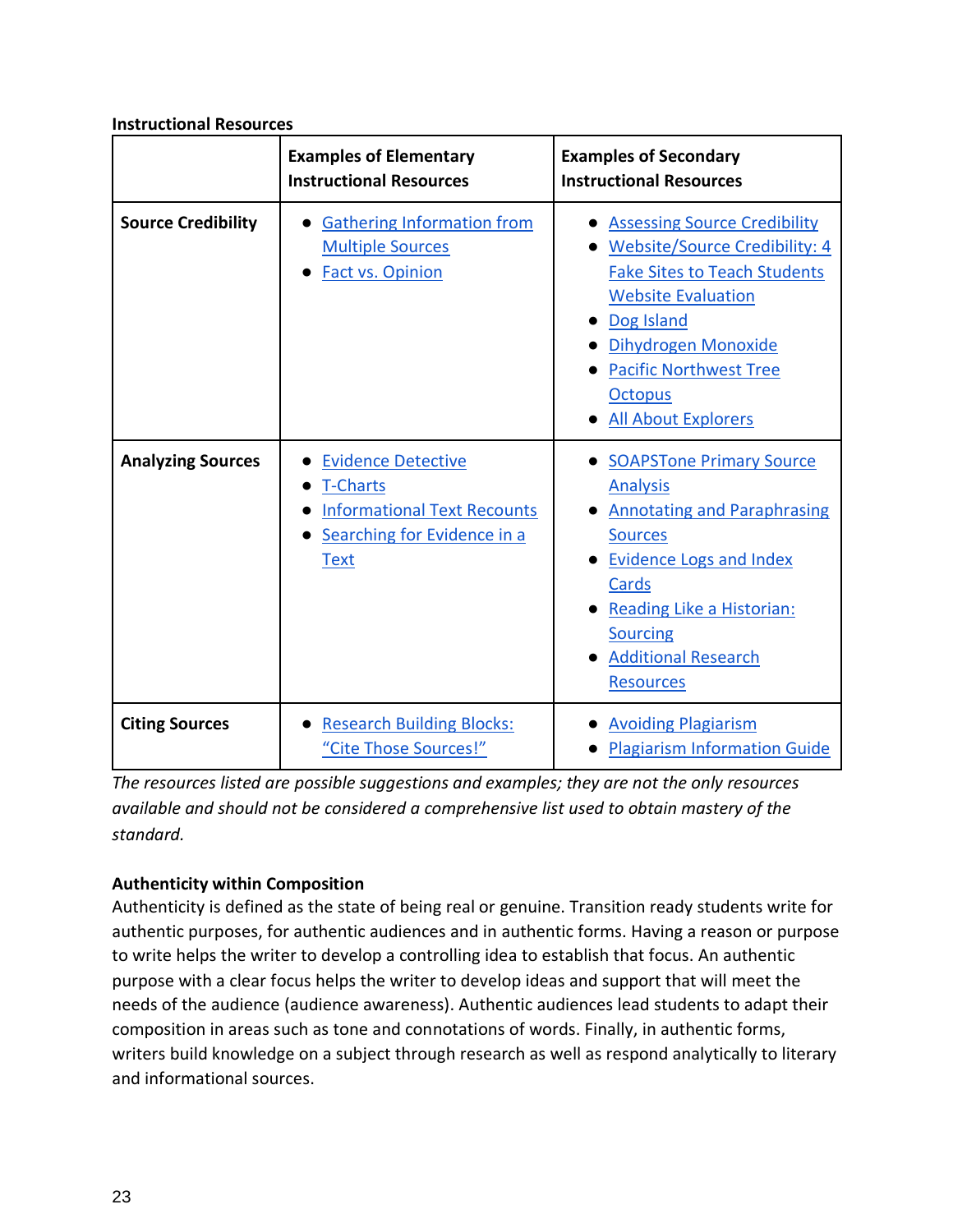|                           | <b>Examples of Elementary</b><br><b>Instructional Resources</b>                                                                  | <b>Examples of Secondary</b><br><b>Instructional Resources</b>                                                                                                                                                                                                        |
|---------------------------|----------------------------------------------------------------------------------------------------------------------------------|-----------------------------------------------------------------------------------------------------------------------------------------------------------------------------------------------------------------------------------------------------------------------|
| <b>Source Credibility</b> | <b>Gathering Information from</b><br><b>Multiple Sources</b><br><b>Fact vs. Opinion</b>                                          | <b>Assessing Source Credibility</b><br><b>Website/Source Credibility: 4</b><br><b>Fake Sites to Teach Students</b><br><b>Website Evaluation</b><br>Dog Island<br>Dihydrogen Monoxide<br><b>Pacific Northwest Tree</b><br><b>Octopus</b><br><b>All About Explorers</b> |
| <b>Analyzing Sources</b>  | <b>Evidence Detective</b><br><b>T-Charts</b><br><b>Informational Text Recounts</b><br>Searching for Evidence in a<br><b>Text</b> | <b>SOAPSTone Primary Source</b><br><b>Analysis</b><br><b>Annotating and Paraphrasing</b><br><b>Sources</b><br><b>Evidence Logs and Index</b><br>Cards<br>Reading Like a Historian:<br><b>Sourcing</b><br><b>Additional Research</b><br><b>Resources</b>               |
| <b>Citing Sources</b>     | <b>Research Building Blocks:</b><br>"Cite Those Sources!"                                                                        | <b>Avoiding Plagiarism</b><br><b>Plagiarism Information Guide</b>                                                                                                                                                                                                     |

#### **Instructional Resources**

*The resources listed are possible suggestions and examples; they are not the only resources available and should not be considered a comprehensive list used to obtain mastery of the standard.*

#### **Authenticity within Composition**

Authenticity is defined as the state of being real or genuine. Transition ready students write for authentic purposes, for authentic audiences and in authentic forms. Having a reason or purpose to write helps the writer to develop a controlling idea to establish that focus. An authentic purpose with a clear focus helps the writer to develop ideas and support that will meet the needs of the audience (audience awareness). Authentic audiences lead students to adapt their composition in areas such as tone and connotations of words. Finally, in authentic forms, writers build knowledge on a subject through research as well as respond analytically to literary and informational sources.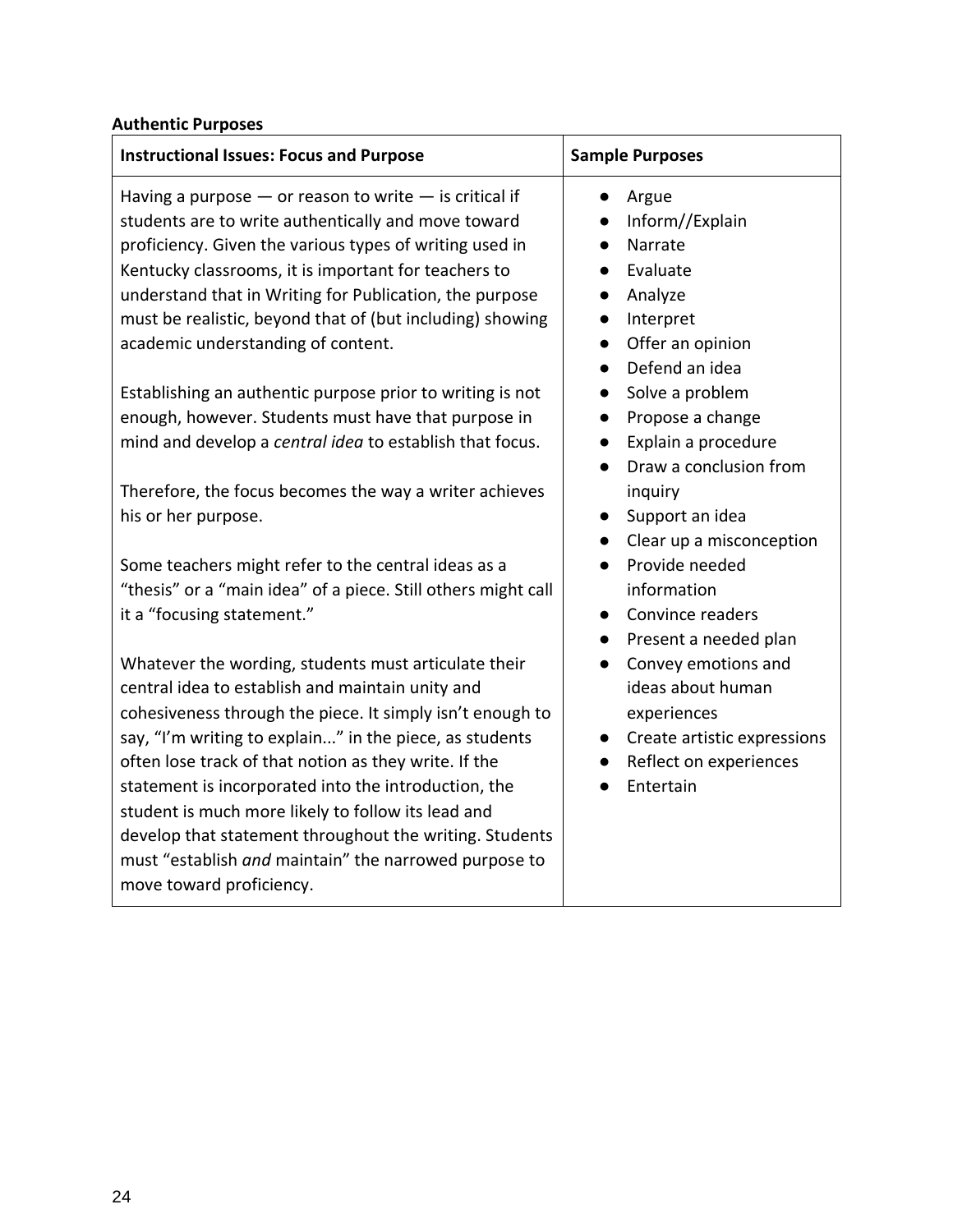#### **Authentic Purposes**

| <b>Instructional Issues: Focus and Purpose</b>                | <b>Sample Purposes</b>                   |
|---------------------------------------------------------------|------------------------------------------|
| Having a purpose $-$ or reason to write $-$ is critical if    | Argue<br>$\bullet$                       |
| students are to write authentically and move toward           | Inform//Explain                          |
| proficiency. Given the various types of writing used in       | Narrate                                  |
| Kentucky classrooms, it is important for teachers to          | Evaluate                                 |
| understand that in Writing for Publication, the purpose       | Analyze<br>$\bullet$                     |
| must be realistic, beyond that of (but including) showing     | Interpret<br>$\bullet$                   |
| academic understanding of content.                            | Offer an opinion<br>$\bullet$            |
|                                                               | Defend an idea<br>$\bullet$              |
| Establishing an authentic purpose prior to writing is not     | Solve a problem<br>$\bullet$             |
| enough, however. Students must have that purpose in           | Propose a change<br>$\bullet$            |
| mind and develop a central idea to establish that focus.      | Explain a procedure<br>$\bullet$         |
|                                                               | Draw a conclusion from                   |
| Therefore, the focus becomes the way a writer achieves        | inquiry                                  |
| his or her purpose.                                           | Support an idea                          |
|                                                               | Clear up a misconception<br>$\bullet$    |
| Some teachers might refer to the central ideas as a           | Provide needed                           |
| "thesis" or a "main idea" of a piece. Still others might call | information                              |
| it a "focusing statement."                                    | Convince readers<br>$\bullet$            |
|                                                               | • Present a needed plan                  |
| Whatever the wording, students must articulate their          | Convey emotions and                      |
| central idea to establish and maintain unity and              | ideas about human                        |
| cohesiveness through the piece. It simply isn't enough to     | experiences                              |
| say, "I'm writing to explain" in the piece, as students       | Create artistic expressions<br>$\bullet$ |
| often lose track of that notion as they write. If the         | Reflect on experiences                   |
| statement is incorporated into the introduction, the          | Entertain                                |
| student is much more likely to follow its lead and            |                                          |
| develop that statement throughout the writing. Students       |                                          |
| must "establish and maintain" the narrowed purpose to         |                                          |
| move toward proficiency.                                      |                                          |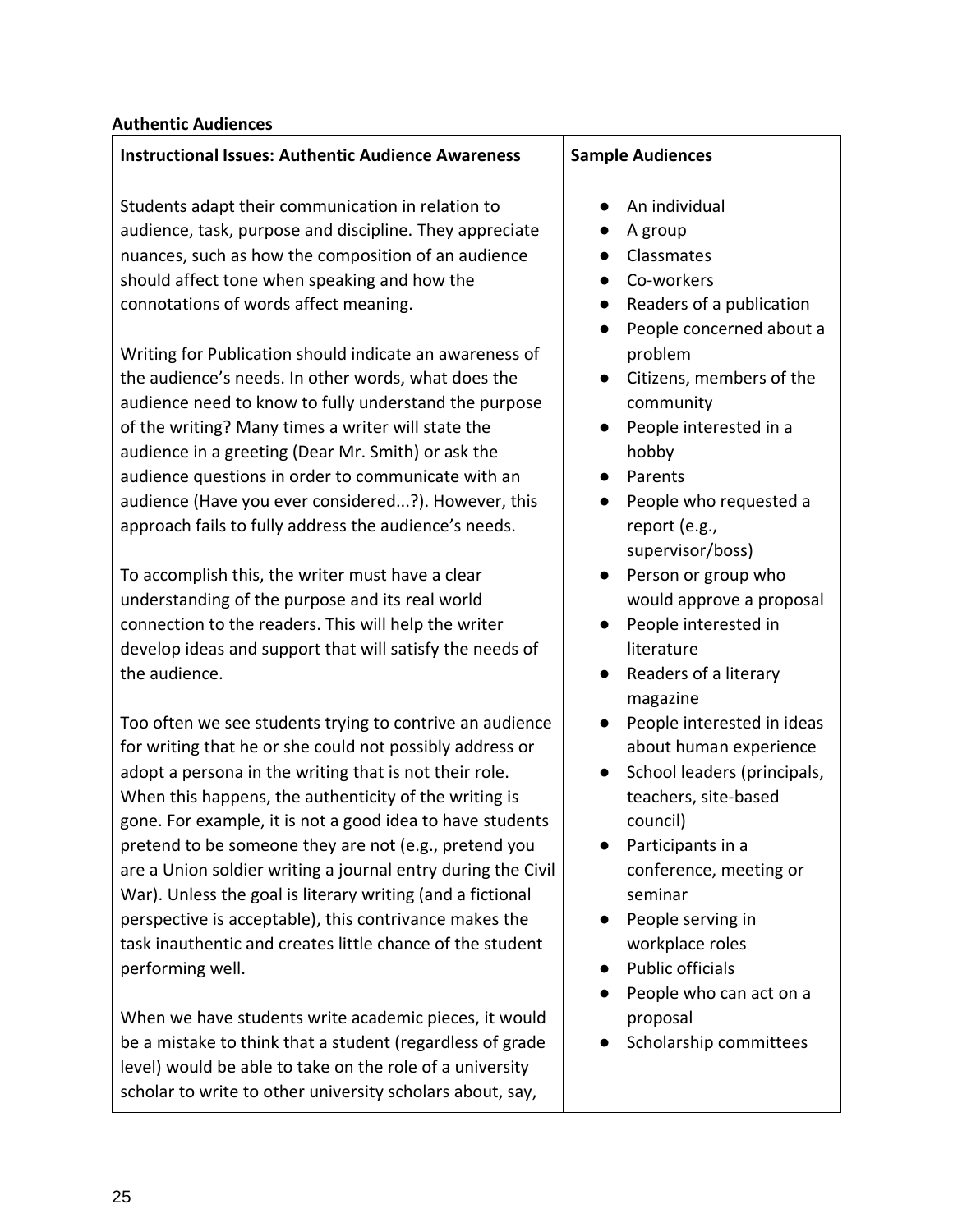| <b>Authentic Audiences</b> |
|----------------------------|
|----------------------------|

| <b>Instructional Issues: Authentic Audience Awareness</b>                                                                                                                                                                                                                                                                                                                                                                                                                                                                                                                                                                              | <b>Sample Audiences</b>                                                                                                                                                                                                                                                                                               |
|----------------------------------------------------------------------------------------------------------------------------------------------------------------------------------------------------------------------------------------------------------------------------------------------------------------------------------------------------------------------------------------------------------------------------------------------------------------------------------------------------------------------------------------------------------------------------------------------------------------------------------------|-----------------------------------------------------------------------------------------------------------------------------------------------------------------------------------------------------------------------------------------------------------------------------------------------------------------------|
| Students adapt their communication in relation to<br>audience, task, purpose and discipline. They appreciate<br>nuances, such as how the composition of an audience<br>should affect tone when speaking and how the<br>connotations of words affect meaning.                                                                                                                                                                                                                                                                                                                                                                           | An individual<br>A group<br>Classmates<br>Co-workers<br>Readers of a publication<br>$\bullet$                                                                                                                                                                                                                         |
| Writing for Publication should indicate an awareness of<br>the audience's needs. In other words, what does the<br>audience need to know to fully understand the purpose<br>of the writing? Many times a writer will state the<br>audience in a greeting (Dear Mr. Smith) or ask the                                                                                                                                                                                                                                                                                                                                                    | People concerned about a<br>$\bullet$<br>problem<br>Citizens, members of the<br>$\bullet$<br>community<br>People interested in a<br>$\bullet$<br>hobby                                                                                                                                                                |
| audience questions in order to communicate with an<br>audience (Have you ever considered?). However, this<br>approach fails to fully address the audience's needs.                                                                                                                                                                                                                                                                                                                                                                                                                                                                     | Parents<br>People who requested a<br>report (e.g.,<br>supervisor/boss)                                                                                                                                                                                                                                                |
| To accomplish this, the writer must have a clear<br>understanding of the purpose and its real world<br>connection to the readers. This will help the writer<br>develop ideas and support that will satisfy the needs of<br>the audience.                                                                                                                                                                                                                                                                                                                                                                                               | Person or group who<br>$\bullet$<br>would approve a proposal<br>People interested in<br>$\bullet$<br>literature<br>Readers of a literary<br>$\bullet$                                                                                                                                                                 |
| Too often we see students trying to contrive an audience<br>for writing that he or she could not possibly address or<br>adopt a persona in the writing that is not their role.<br>When this happens, the authenticity of the writing is<br>gone. For example, it is not a good idea to have students<br>pretend to be someone they are not (e.g., pretend you<br>are a Union soldier writing a journal entry during the Civil<br>War). Unless the goal is literary writing (and a fictional<br>perspective is acceptable), this contrivance makes the<br>task inauthentic and creates little chance of the student<br>performing well. | magazine<br>People interested in ideas<br>about human experience<br>School leaders (principals,<br>$\bullet$<br>teachers, site-based<br>council)<br>Participants in a<br>conference, meeting or<br>seminar<br>People serving in<br>workplace roles<br><b>Public officials</b><br>$\bullet$<br>People who can act on a |
| When we have students write academic pieces, it would<br>be a mistake to think that a student (regardless of grade<br>level) would be able to take on the role of a university<br>scholar to write to other university scholars about, say,                                                                                                                                                                                                                                                                                                                                                                                            | proposal<br>Scholarship committees                                                                                                                                                                                                                                                                                    |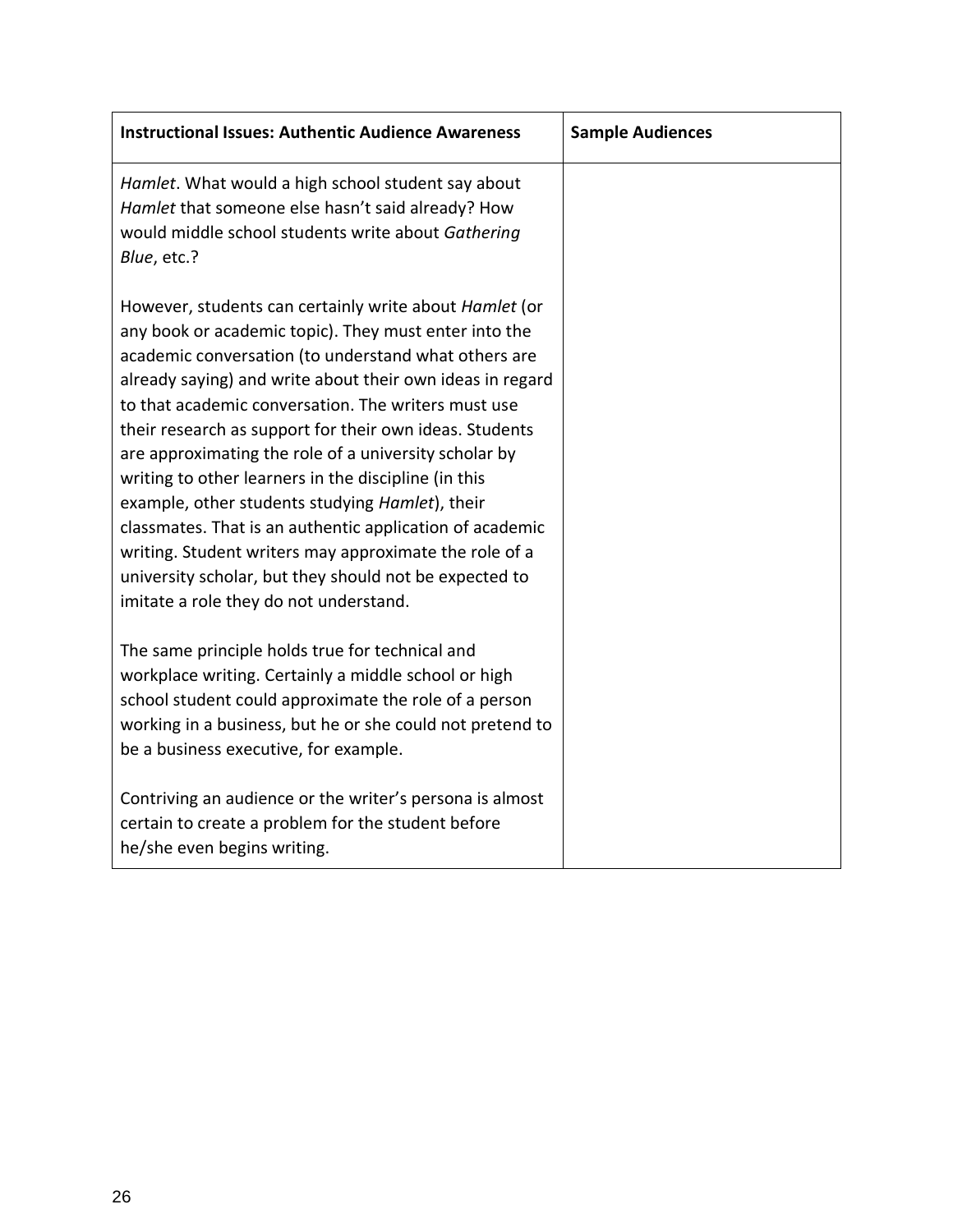| <b>Instructional Issues: Authentic Audience Awareness</b>                                                                                                                                                                                                                                                                                                                                                                                                                                                                                                                                                                                                                                                                                            | <b>Sample Audiences</b> |
|------------------------------------------------------------------------------------------------------------------------------------------------------------------------------------------------------------------------------------------------------------------------------------------------------------------------------------------------------------------------------------------------------------------------------------------------------------------------------------------------------------------------------------------------------------------------------------------------------------------------------------------------------------------------------------------------------------------------------------------------------|-------------------------|
| Hamlet. What would a high school student say about<br>Hamlet that someone else hasn't said already? How<br>would middle school students write about Gathering<br>Blue, etc.?                                                                                                                                                                                                                                                                                                                                                                                                                                                                                                                                                                         |                         |
| However, students can certainly write about Hamlet (or<br>any book or academic topic). They must enter into the<br>academic conversation (to understand what others are<br>already saying) and write about their own ideas in regard<br>to that academic conversation. The writers must use<br>their research as support for their own ideas. Students<br>are approximating the role of a university scholar by<br>writing to other learners in the discipline (in this<br>example, other students studying Hamlet), their<br>classmates. That is an authentic application of academic<br>writing. Student writers may approximate the role of a<br>university scholar, but they should not be expected to<br>imitate a role they do not understand. |                         |
| The same principle holds true for technical and<br>workplace writing. Certainly a middle school or high<br>school student could approximate the role of a person<br>working in a business, but he or she could not pretend to<br>be a business executive, for example.                                                                                                                                                                                                                                                                                                                                                                                                                                                                               |                         |
| Contriving an audience or the writer's persona is almost<br>certain to create a problem for the student before<br>he/she even begins writing.                                                                                                                                                                                                                                                                                                                                                                                                                                                                                                                                                                                                        |                         |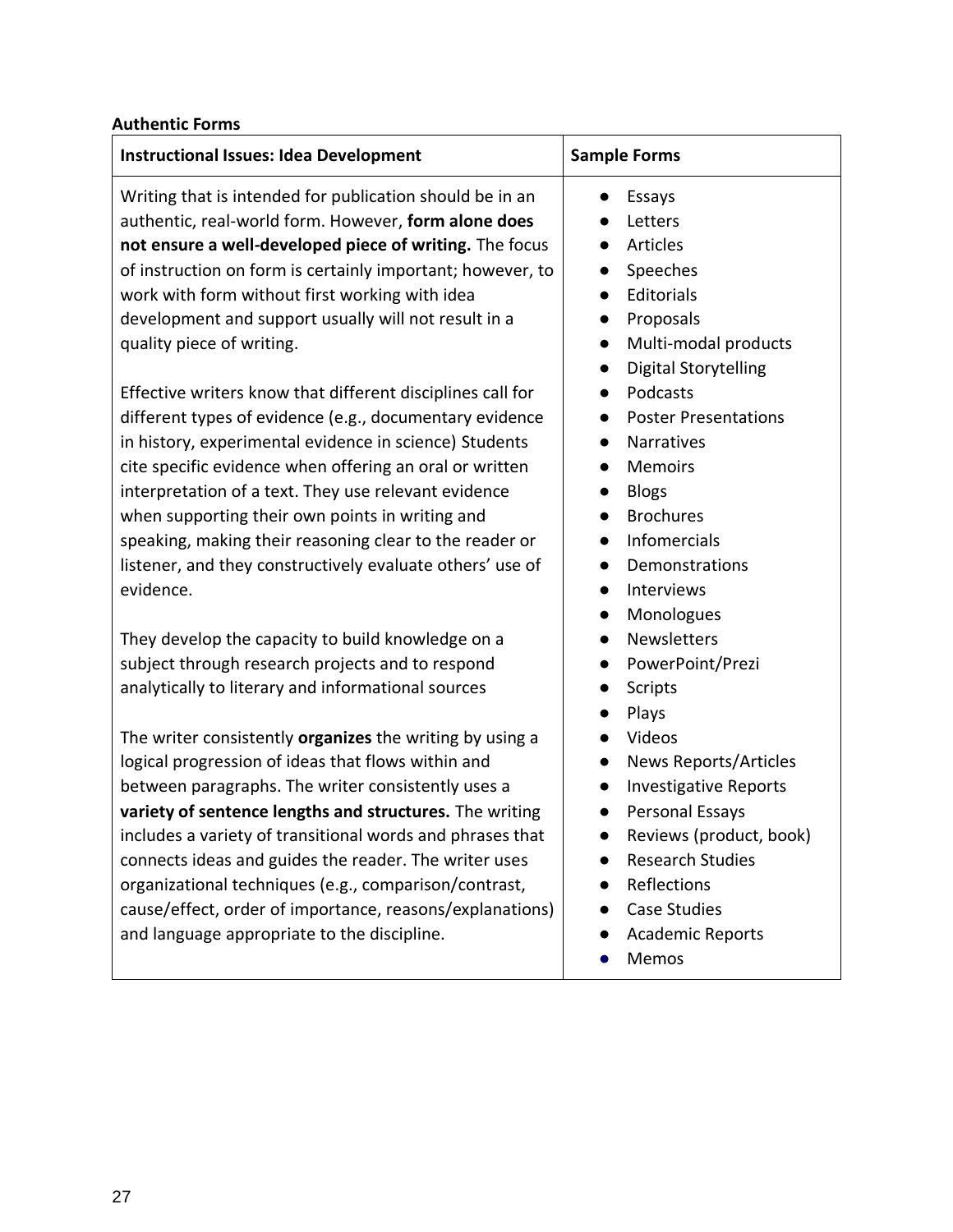#### **Authentic Forms**

| <b>Instructional Issues: Idea Development</b>                                                                                                                                                                                                                                                                                                                                                                                                                                                                                                                                                                                                                                                                                                                                                                                                                     | <b>Sample Forms</b>                                                                                                                                                                                                                                                                                                                                                     |
|-------------------------------------------------------------------------------------------------------------------------------------------------------------------------------------------------------------------------------------------------------------------------------------------------------------------------------------------------------------------------------------------------------------------------------------------------------------------------------------------------------------------------------------------------------------------------------------------------------------------------------------------------------------------------------------------------------------------------------------------------------------------------------------------------------------------------------------------------------------------|-------------------------------------------------------------------------------------------------------------------------------------------------------------------------------------------------------------------------------------------------------------------------------------------------------------------------------------------------------------------------|
| Writing that is intended for publication should be in an<br>authentic, real-world form. However, form alone does<br>not ensure a well-developed piece of writing. The focus<br>of instruction on form is certainly important; however, to<br>work with form without first working with idea<br>development and support usually will not result in a<br>quality piece of writing.<br>Effective writers know that different disciplines call for<br>different types of evidence (e.g., documentary evidence<br>in history, experimental evidence in science) Students<br>cite specific evidence when offering an oral or written<br>interpretation of a text. They use relevant evidence<br>when supporting their own points in writing and<br>speaking, making their reasoning clear to the reader or<br>listener, and they constructively evaluate others' use of | Essays<br>Letters<br>Articles<br>Speeches<br>Editorials<br>Proposals<br>$\bullet$<br>Multi-modal products<br>$\bullet$<br><b>Digital Storytelling</b><br>Podcasts<br><b>Poster Presentations</b><br>Narratives<br><b>Memoirs</b><br><b>Blogs</b><br><b>Brochures</b><br><b>Infomercials</b><br>Demonstrations                                                           |
| evidence.<br>They develop the capacity to build knowledge on a<br>subject through research projects and to respond<br>analytically to literary and informational sources<br>The writer consistently organizes the writing by using a<br>logical progression of ideas that flows within and<br>between paragraphs. The writer consistently uses a<br>variety of sentence lengths and structures. The writing<br>includes a variety of transitional words and phrases that<br>connects ideas and guides the reader. The writer uses<br>organizational techniques (e.g., comparison/contrast,<br>cause/effect, order of importance, reasons/explanations)<br>and language appropriate to the discipline.                                                                                                                                                             | Interviews<br>$\bullet$<br>Monologues<br>$\bullet$<br>Newsletters<br>PowerPoint/Prezi<br><b>Scripts</b><br>Plays<br>Videos<br><b>News Reports/Articles</b><br><b>Investigative Reports</b><br>$\bullet$<br>Personal Essays<br>$\bullet$<br>Reviews (product, book)<br><b>Research Studies</b><br>Reflections<br><b>Case Studies</b><br><b>Academic Reports</b><br>Memos |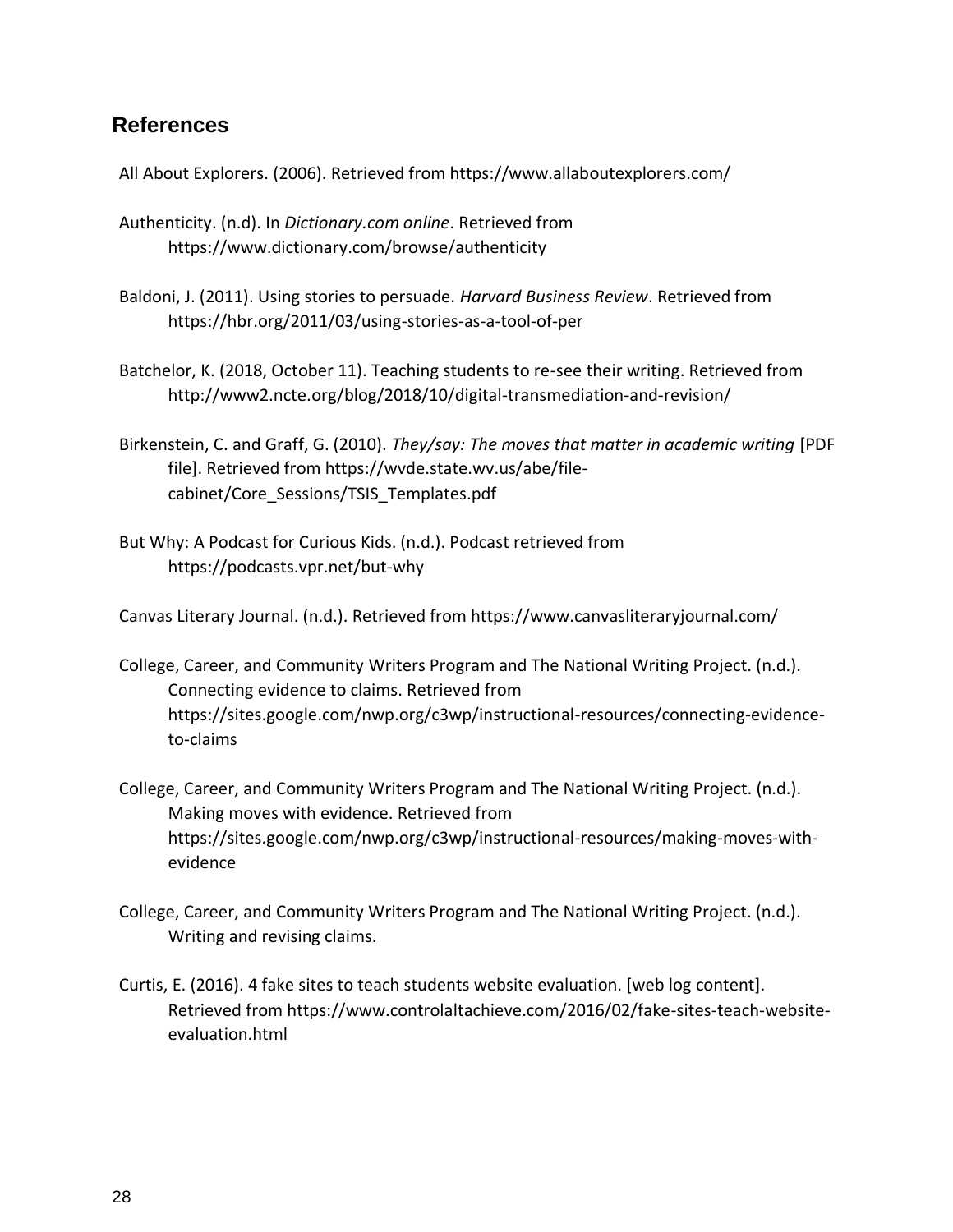#### **References**

All About Explorers. (2006). Retrieved from https://www.allaboutexplorers.com/

- Authenticity. (n.d). In *Dictionary.com online*. Retrieved from https://www.dictionary.com/browse/authenticity
- Baldoni, J. (2011). Using stories to persuade. *Harvard Business Review*. Retrieved from https://hbr.org/2011/03/using-stories-as-a-tool-of-per
- Batchelor, K. (2018, October 11). Teaching students to re-see their writing. Retrieved from http://www2.ncte.org/blog/2018/10/digital-transmediation-and-revision/
- Birkenstein, C. and Graff, G. (2010). *They/say: The moves that matter in academic writing* [PDF file]. Retrieved from https://wvde.state.wv.us/abe/filecabinet/Core\_Sessions/TSIS\_Templates.pdf
- But Why: A Podcast for Curious Kids. (n.d.). Podcast retrieved from https://podcasts.vpr.net/but-why

Canvas Literary Journal. (n.d.). Retrieved from https://www.canvasliteraryjournal.com/

- College, Career, and Community Writers Program and The National Writing Project. (n.d.). Connecting evidence to claims. Retrieved from https://sites.google.com/nwp.org/c3wp/instructional-resources/connecting-evidenceto-claims
- College, Career, and Community Writers Program and The National Writing Project. (n.d.). Making moves with evidence. Retrieved from https://sites.google.com/nwp.org/c3wp/instructional-resources/making-moves-withevidence
- College, Career, and Community Writers Program and The National Writing Project. (n.d.). Writing and revising claims.
- Curtis, E. (2016). 4 fake sites to teach students website evaluation. [web log content]. Retrieved from https://www.controlaltachieve.com/2016/02/fake-sites-teach-websiteevaluation.html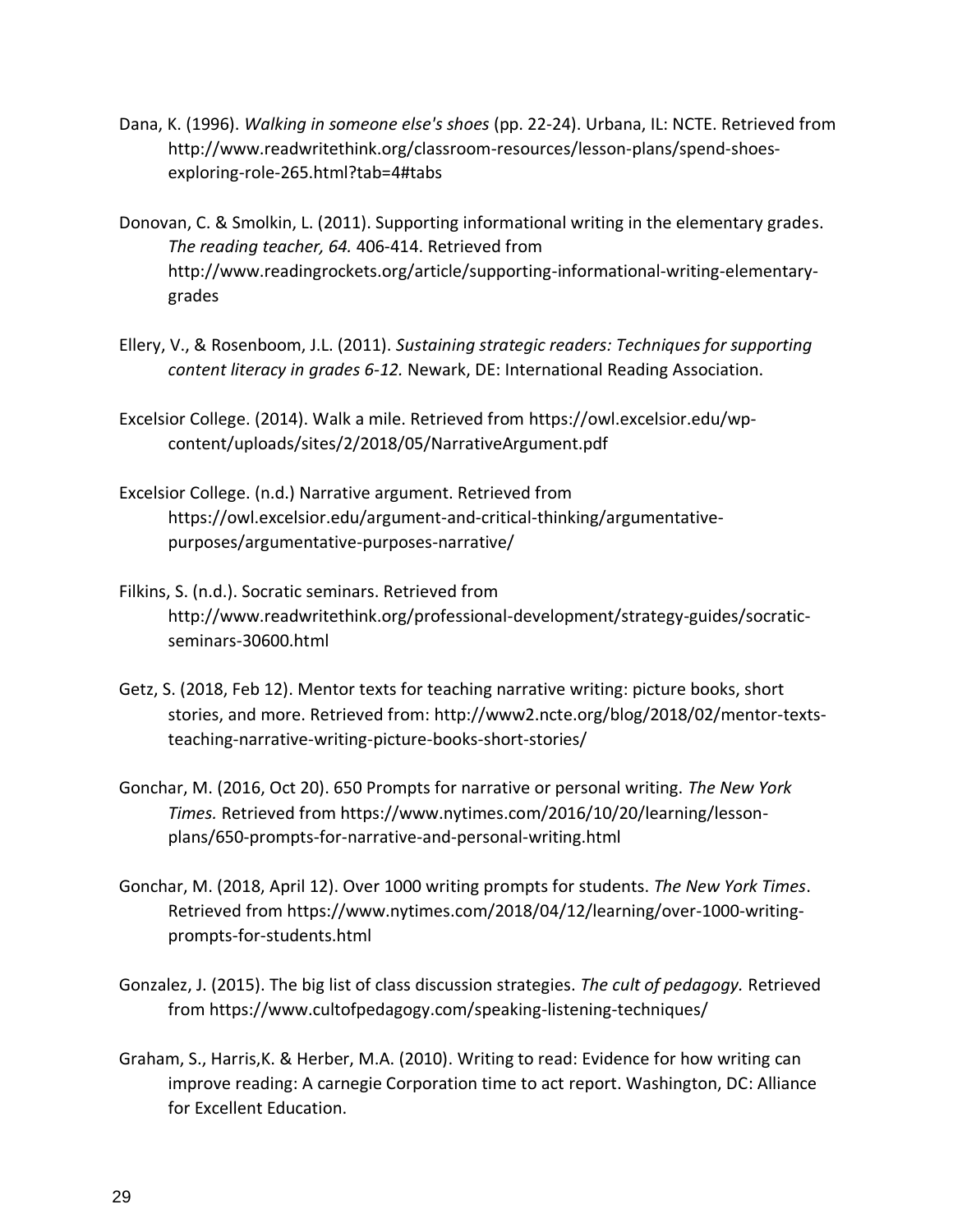- Dana, K. (1996). *Walking in someone else's shoes* (pp. 22-24). Urbana, IL: NCTE. Retrieved from http://www.readwritethink.org/classroom-resources/lesson-plans/spend-shoesexploring-role-265.html?tab=4#tabs
- Donovan, C. & Smolkin, L. (2011). Supporting informational writing in the elementary grades. *The reading teacher, 64.* 406-414. Retrieved from http://www.readingrockets.org/article/supporting-informational-writing-elementarygrades
- Ellery, V., & Rosenboom, J.L. (2011). *Sustaining strategic readers: Techniques for supporting content literacy in grades 6-12.* Newark, DE: International Reading Association.
- Excelsior College. (2014). Walk a mile. Retrieved from https://owl.excelsior.edu/wpcontent/uploads/sites/2/2018/05/NarrativeArgument.pdf
- Excelsior College. (n.d.) Narrative argument. Retrieved from https://owl.excelsior.edu/argument-and-critical-thinking/argumentativepurposes/argumentative-purposes-narrative/
- Filkins, S. (n.d.). Socratic seminars. Retrieved from http://www.readwritethink.org/professional-development/strategy-guides/socraticseminars-30600.html
- Getz, S. (2018, Feb 12). Mentor texts for teaching narrative writing: picture books, short stories, and more. Retrieved from: http://www2.ncte.org/blog/2018/02/mentor-textsteaching-narrative-writing-picture-books-short-stories/
- Gonchar, M. (2016, Oct 20). 650 Prompts for narrative or personal writing. *The New York Times.* Retrieved from https://www.nytimes.com/2016/10/20/learning/lessonplans/650-prompts-for-narrative-and-personal-writing.html
- Gonchar, M. (2018, April 12). Over 1000 writing prompts for students. *The New York Times*. Retrieved from https://www.nytimes.com/2018/04/12/learning/over-1000-writingprompts-for-students.html
- Gonzalez, J. (2015). The big list of class discussion strategies. *The cult of pedagogy.* Retrieved from https://www.cultofpedagogy.com/speaking-listening-techniques/
- Graham, S., Harris,K. & Herber, M.A. (2010). Writing to read: Evidence for how writing can improve reading: A carnegie Corporation time to act report. Washington, DC: Alliance for Excellent Education.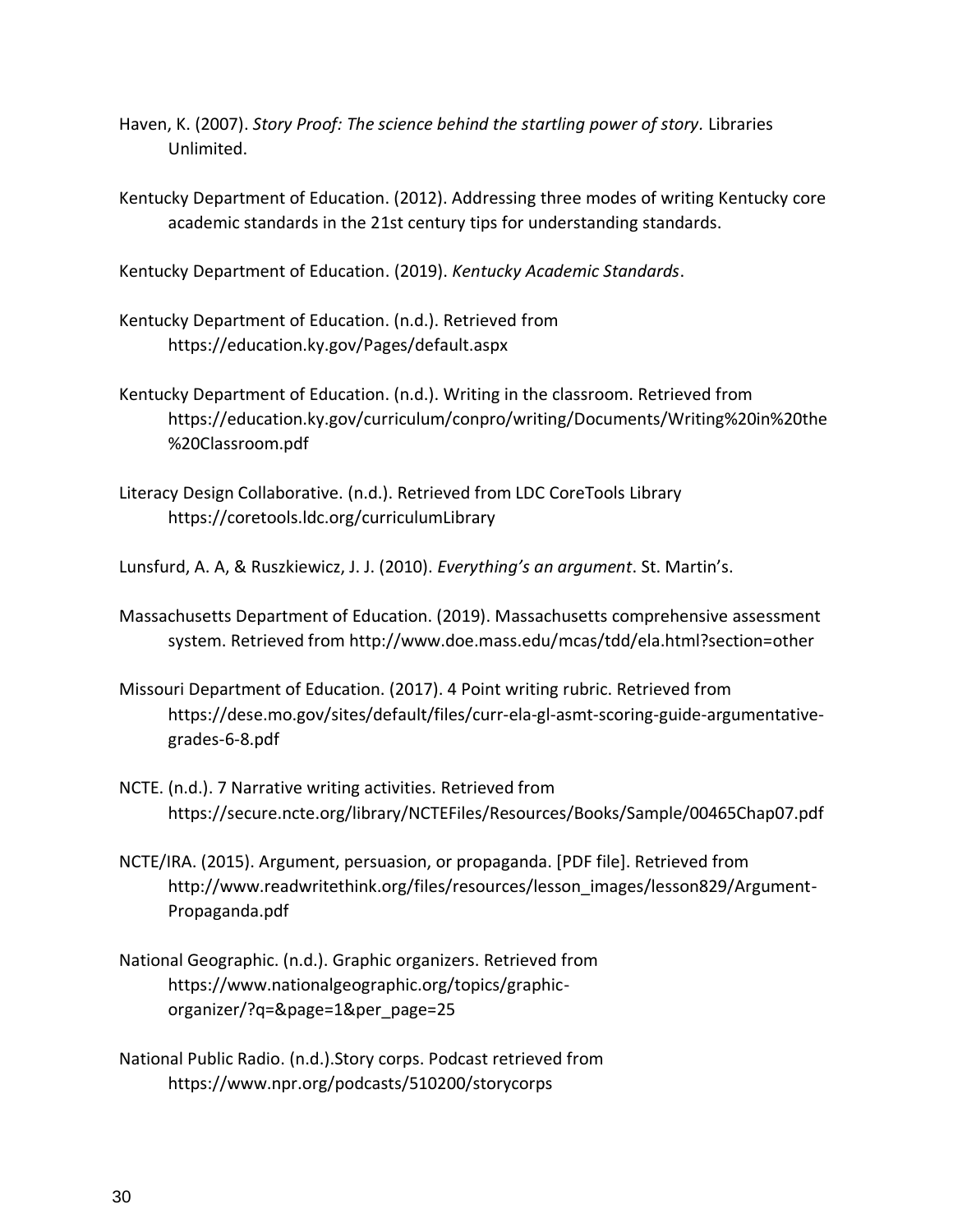- Haven, K. (2007). *Story Proof: The science behind the startling power of story.* Libraries Unlimited.
- Kentucky Department of Education. (2012). Addressing three modes of writing Kentucky core academic standards in the 21st century tips for understanding standards.

Kentucky Department of Education. (2019). *Kentucky Academic Standards*.

- Kentucky Department of Education. (n.d.). Retrieved from https://education.ky.gov/Pages/default.aspx
- Kentucky Department of Education. (n.d.). Writing in the classroom. Retrieved from https://education.ky.gov/curriculum/conpro/writing/Documents/Writing%20in%20the %20Classroom.pdf
- Literacy Design Collaborative. (n.d.). Retrieved from LDC CoreTools Library https://coretools.ldc.org/curriculumLibrary

Lunsfurd, A. A, & Ruszkiewicz, J. J. (2010). *Everything's an argument*. St. Martin's.

- Massachusetts Department of Education. (2019). Massachusetts comprehensive assessment system. Retrieved from http://www.doe.mass.edu/mcas/tdd/ela.html?section=other
- Missouri Department of Education. (2017). 4 Point writing rubric. Retrieved from https://dese.mo.gov/sites/default/files/curr-ela-gl-asmt-scoring-guide-argumentativegrades-6-8.pdf
- NCTE. (n.d.). 7 Narrative writing activities. Retrieved from https://secure.ncte.org/library/NCTEFiles/Resources/Books/Sample/00465Chap07.pdf
- NCTE/IRA. (2015). Argument, persuasion, or propaganda. [PDF file]. Retrieved from http://www.readwritethink.org/files/resources/lesson\_images/lesson829/Argument-Propaganda.pdf
- National Geographic. (n.d.). Graphic organizers. Retrieved from https://www.nationalgeographic.org/topics/graphicorganizer/?q=&page=1&per\_page=25
- National Public Radio. (n.d.).Story corps. Podcast retrieved from https://www.npr.org/podcasts/510200/storycorps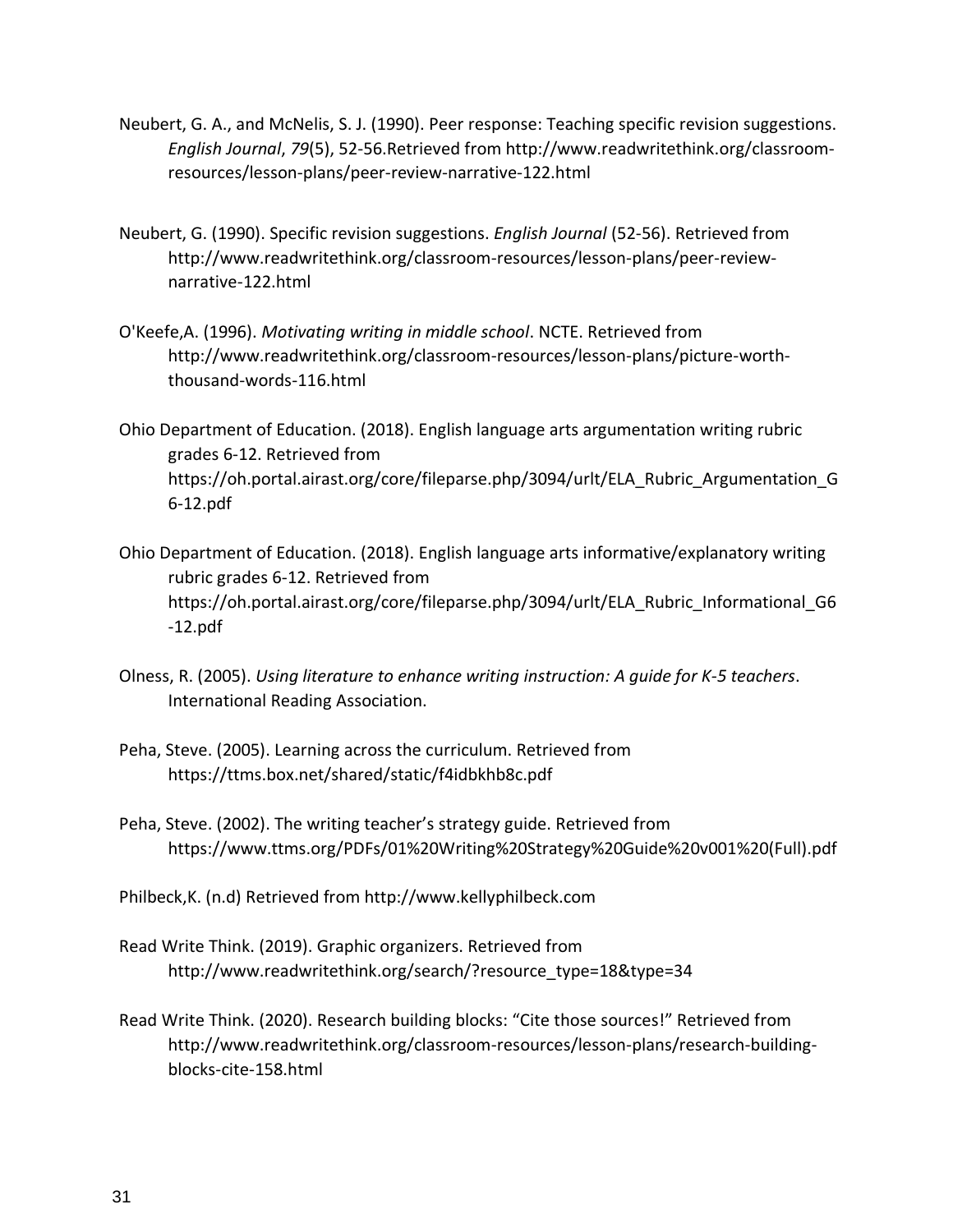- Neubert, G. A., and McNelis, S. J. (1990). Peer response: Teaching specific revision suggestions. *English Journal*, *79*(5), 52-56.Retrieved from http://www.readwritethink.org/classroomresources/lesson-plans/peer-review-narrative-122.html
- Neubert, G. (1990). Specific revision suggestions. *English Journal* (52-56). Retrieved from http://www.readwritethink.org/classroom-resources/lesson-plans/peer-reviewnarrative-122.html
- O'Keefe,A. (1996). *Motivating writing in middle school*. NCTE. Retrieved from http://www.readwritethink.org/classroom-resources/lesson-plans/picture-worththousand-words-116.html
- Ohio Department of Education. (2018). English language arts argumentation writing rubric grades 6-12. Retrieved from https://oh.portal.airast.org/core/fileparse.php/3094/urlt/ELA\_Rubric\_Argumentation\_G 6-12.pdf
- Ohio Department of Education. (2018). English language arts informative/explanatory writing rubric grades 6-12. Retrieved from https://oh.portal.airast.org/core/fileparse.php/3094/urlt/ELA\_Rubric\_Informational\_G6 -12.pdf
- Olness, R. (2005). *Using literature to enhance writing instruction: A guide for K-5 teachers*. International Reading Association.
- Peha, Steve. (2005). Learning across the curriculum. Retrieved from https://ttms.box.net/shared/static/f4idbkhb8c.pdf
- Peha, Steve. (2002). The writing teacher's strategy guide. Retrieved from https://www.ttms.org/PDFs/01%20Writing%20Strategy%20Guide%20v001%20(Full).pdf
- Philbeck,K. (n.d) Retrieved from http://www.kellyphilbeck.com
- Read Write Think. (2019). Graphic organizers. Retrieved from http://www.readwritethink.org/search/?resource\_type=18&type=34
- Read Write Think. (2020). Research building blocks: "Cite those sources!" Retrieved from http://www.readwritethink.org/classroom-resources/lesson-plans/research-buildingblocks-cite-158.html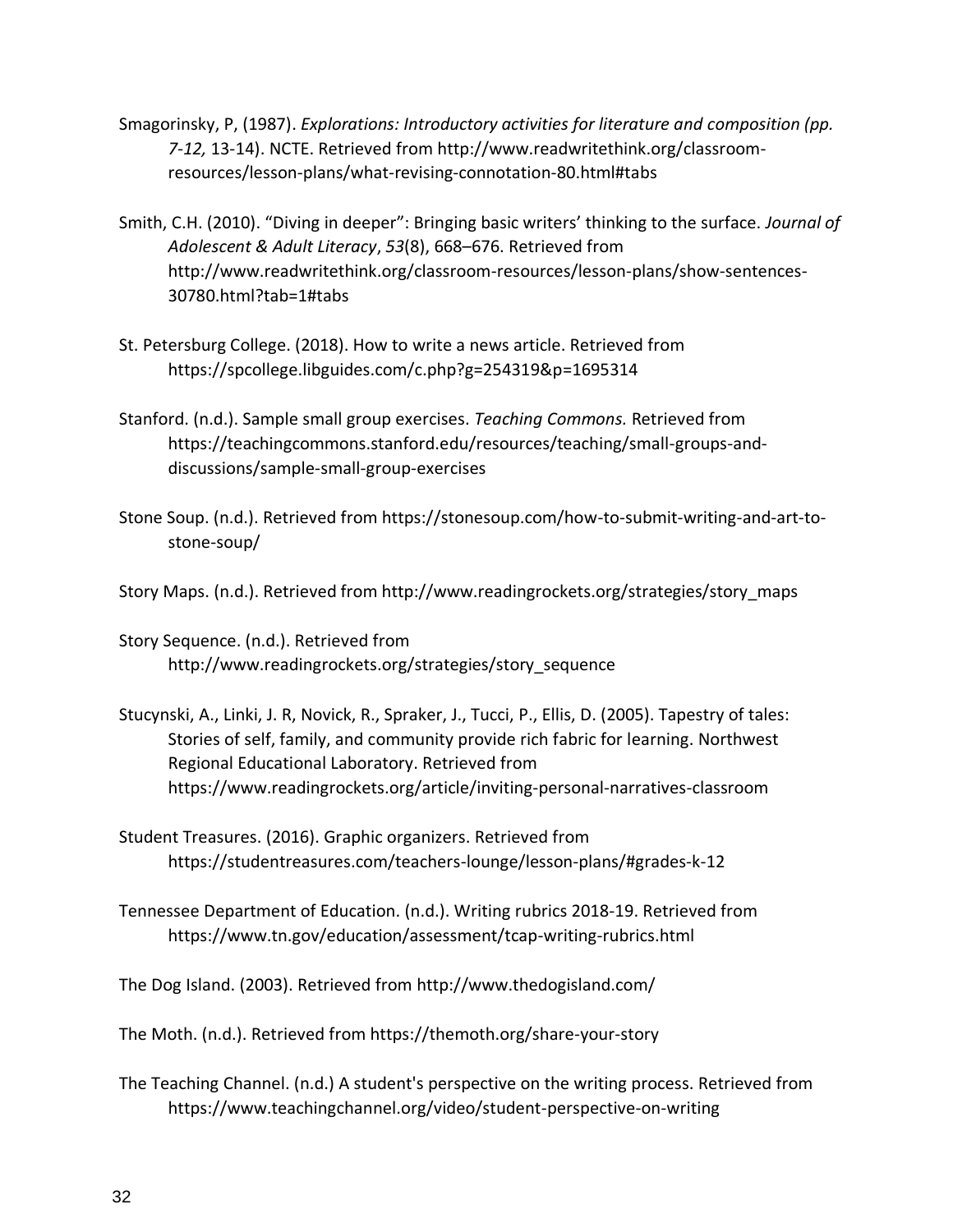- Smagorinsky, P, (1987). *Explorations: Introductory activities for literature and composition (pp. 7-12,* 13-14). NCTE. Retrieved from http://www.readwritethink.org/classroomresources/lesson-plans/what-revising-connotation-80.html#tabs
- Smith, C.H. (2010). "Diving in deeper": Bringing basic writers' thinking to the surface. *Journal of Adolescent & Adult Literacy*, *53*(8), 668–676. Retrieved from http://www.readwritethink.org/classroom-resources/lesson-plans/show-sentences-30780.html?tab=1#tabs
- St. Petersburg College. (2018). How to write a news article. Retrieved from https://spcollege.libguides.com/c.php?g=254319&p=1695314
- Stanford. (n.d.). Sample small group exercises. *Teaching Commons.* Retrieved from https://teachingcommons.stanford.edu/resources/teaching/small-groups-anddiscussions/sample-small-group-exercises
- Stone Soup. (n.d.). Retrieved from https://stonesoup.com/how-to-submit-writing-and-art-tostone-soup/
- Story Maps. (n.d.). Retrieved from http://www.readingrockets.org/strategies/story\_maps
- Story Sequence. (n.d.). Retrieved from http://www.readingrockets.org/strategies/story\_sequence
- Stucynski, A., Linki, J. R, Novick, R., Spraker, J., Tucci, P., Ellis, D. (2005). Tapestry of tales: Stories of self, family, and community provide rich fabric for learning. Northwest Regional Educational Laboratory. Retrieved from https://www.readingrockets.org/article/inviting-personal-narratives-classroom
- Student Treasures. (2016). Graphic organizers. Retrieved from https://studentreasures.com/teachers-lounge/lesson-plans/#grades-k-12
- Tennessee Department of Education. (n.d.). Writing rubrics 2018-19. Retrieved from https://www.tn.gov/education/assessment/tcap-writing-rubrics.html

The Dog Island. (2003). Retrieved from http://www.thedogisland.com/

The Moth. (n.d.). Retrieved from https://themoth.org/share-your-story

The Teaching Channel. (n.d.) A student's perspective on the writing process. Retrieved from https://www.teachingchannel.org/video/student-perspective-on-writing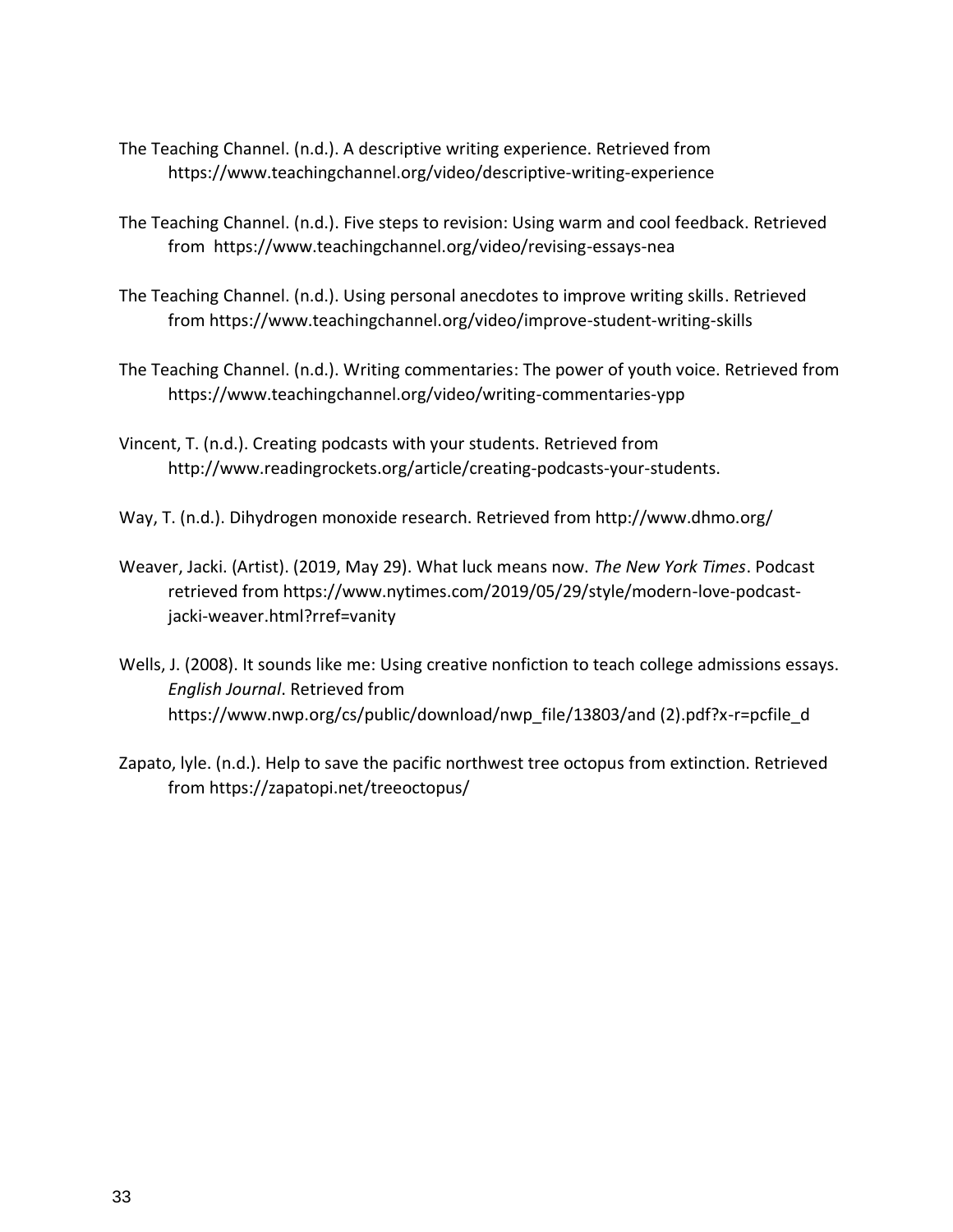- The Teaching Channel. (n.d.). A descriptive writing experience. Retrieved from https://www.teachingchannel.org/video/descriptive-writing-experience
- The Teaching Channel. (n.d.). Five steps to revision: Using warm and cool feedback. Retrieved from <https://www.teachingchannel.org/video/revising-essays-nea>
- The Teaching Channel. (n.d.). Using personal anecdotes to improve writing skills. Retrieved from https://www.teachingchannel.org/video/improve-student-writing-skills
- The Teaching Channel. (n.d.). Writing commentaries: The power of youth voice. Retrieved from https://www.teachingchannel.org/video/writing-commentaries-ypp
- Vincent, T. (n.d.). Creating podcasts with your students. Retrieved from http://www.readingrockets.org/article/creating-podcasts-your-students.
- Way, T. (n.d.). Dihydrogen monoxide research. Retrieved from http://www.dhmo.org/
- Weaver, Jacki. (Artist). (2019, May 29). What luck means now. *The New York Times*. Podcast retrieved from https://www.nytimes.com/2019/05/29/style/modern-love-podcastjacki-weaver.html?rref=vanity
- Wells, J. (2008). It sounds like me: Using creative nonfiction to teach college admissions essays. *English Journal*. Retrieved from https://www.nwp.org/cs/public/download/nwp\_file/13803/and (2).pdf?x-r=pcfile\_d
- Zapato, lyle. (n.d.). Help to save the pacific northwest tree octopus from extinction. Retrieved from https://zapatopi.net/treeoctopus/